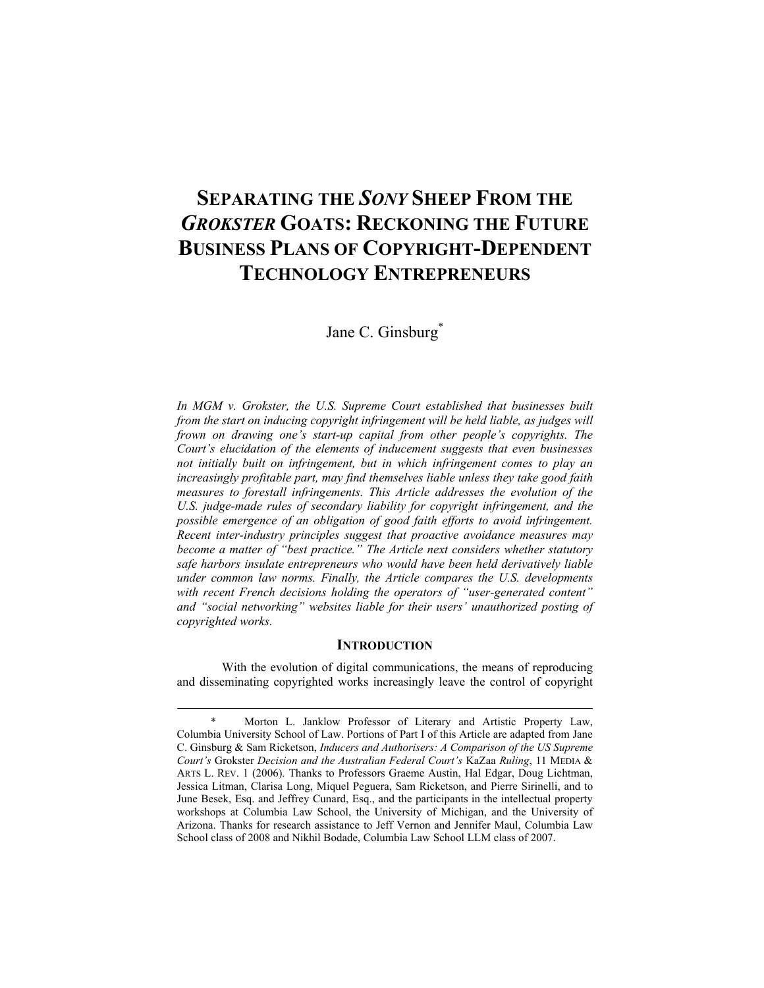# **SEPARATING THE** *SONY* **SHEEP FROM THE**  *GROKSTER* **GOATS: RECKONING THE FUTURE BUSINESS PLANS OF COPYRIGHT-DEPENDENT TECHNOLOGY ENTREPRENEURS**

Jane C. Ginsburg<sup>\*</sup>

*In MGM v. Grokster, the U.S. Supreme Court established that businesses built from the start on inducing copyright infringement will be held liable, as judges will frown on drawing one's start-up capital from other people's copyrights. The Court's elucidation of the elements of inducement suggests that even businesses not initially built on infringement, but in which infringement comes to play an increasingly profitable part, may find themselves liable unless they take good faith measures to forestall infringements. This Article addresses the evolution of the U.S. judge-made rules of secondary liability for copyright infringement, and the possible emergence of an obligation of good faith efforts to avoid infringement. Recent inter-industry principles suggest that proactive avoidance measures may become a matter of "best practice." The Article next considers whether statutory safe harbors insulate entrepreneurs who would have been held derivatively liable under common law norms. Finally, the Article compares the U.S. developments with recent French decisions holding the operators of "user-generated content" and "social networking" websites liable for their users' unauthorized posting of copyrighted works.* 

# **INTRODUCTION**

With the evolution of digital communications, the means of reproducing and disseminating copyrighted works increasingly leave the control of copyright

 <sup>\*</sup> Morton L. Janklow Professor of Literary and Artistic Property Law, Columbia University School of Law. Portions of Part I of this Article are adapted from Jane C. Ginsburg & Sam Ricketson, *Inducers and Authorisers: A Comparison of the US Supreme Court's* Grokster *Decision and the Australian Federal Court's* KaZaa *Ruling*, 11 MEDIA & ARTS L. REV. 1 (2006). Thanks to Professors Graeme Austin, Hal Edgar, Doug Lichtman, Jessica Litman, Clarisa Long, Miquel Peguera, Sam Ricketson, and Pierre Sirinelli, and to June Besek, Esq. and Jeffrey Cunard, Esq., and the participants in the intellectual property workshops at Columbia Law School, the University of Michigan, and the University of Arizona. Thanks for research assistance to Jeff Vernon and Jennifer Maul, Columbia Law School class of 2008 and Nikhil Bodade, Columbia Law School LLM class of 2007.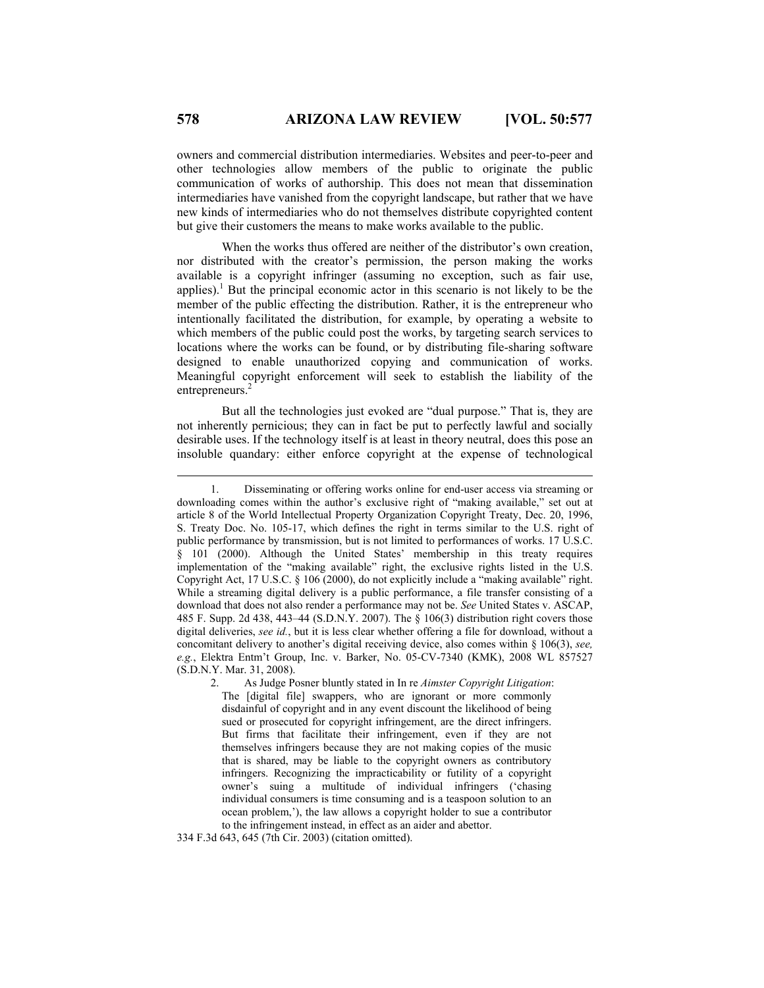owners and commercial distribution intermediaries. Websites and peer-to-peer and other technologies allow members of the public to originate the public communication of works of authorship. This does not mean that dissemination intermediaries have vanished from the copyright landscape, but rather that we have new kinds of intermediaries who do not themselves distribute copyrighted content but give their customers the means to make works available to the public.

When the works thus offered are neither of the distributor's own creation, nor distributed with the creator's permission, the person making the works available is a copyright infringer (assuming no exception, such as fair use, applies).<sup>1</sup> But the principal economic actor in this scenario is not likely to be the member of the public effecting the distribution. Rather, it is the entrepreneur who intentionally facilitated the distribution, for example, by operating a website to which members of the public could post the works, by targeting search services to locations where the works can be found, or by distributing file-sharing software designed to enable unauthorized copying and communication of works. Meaningful copyright enforcement will seek to establish the liability of the entrepreneurs.<sup>2</sup>

But all the technologies just evoked are "dual purpose." That is, they are not inherently pernicious; they can in fact be put to perfectly lawful and socially desirable uses. If the technology itself is at least in theory neutral, does this pose an insoluble quandary: either enforce copyright at the expense of technological

334 F.3d 643, 645 (7th Cir. 2003) (citation omitted).

 <sup>1.</sup> Disseminating or offering works online for end-user access via streaming or downloading comes within the author's exclusive right of "making available," set out at article 8 of the World Intellectual Property Organization Copyright Treaty, Dec. 20, 1996, S. Treaty Doc. No. 105-17, which defines the right in terms similar to the U.S. right of public performance by transmission, but is not limited to performances of works. 17 U.S.C. § 101 (2000). Although the United States' membership in this treaty requires implementation of the "making available" right, the exclusive rights listed in the U.S. Copyright Act, 17 U.S.C. § 106 (2000), do not explicitly include a "making available" right. While a streaming digital delivery is a public performance, a file transfer consisting of a download that does not also render a performance may not be. *See* United States v. ASCAP, 485 F. Supp. 2d 438, 443–44 (S.D.N.Y. 2007). The § 106(3) distribution right covers those digital deliveries, *see id.*, but it is less clear whether offering a file for download, without a concomitant delivery to another's digital receiving device, also comes within § 106(3), *see, e.g.*, Elektra Entm't Group, Inc. v. Barker, No. 05-CV-7340 (KMK), 2008 WL 857527 (S.D.N.Y. Mar. 31, 2008).

 <sup>2.</sup> As Judge Posner bluntly stated in In re *Aimster Copyright Litigation*: The [digital file] swappers, who are ignorant or more commonly disdainful of copyright and in any event discount the likelihood of being sued or prosecuted for copyright infringement, are the direct infringers. But firms that facilitate their infringement, even if they are not themselves infringers because they are not making copies of the music that is shared, may be liable to the copyright owners as contributory infringers. Recognizing the impracticability or futility of a copyright owner's suing a multitude of individual infringers ('chasing individual consumers is time consuming and is a teaspoon solution to an ocean problem,'), the law allows a copyright holder to sue a contributor to the infringement instead, in effect as an aider and abettor.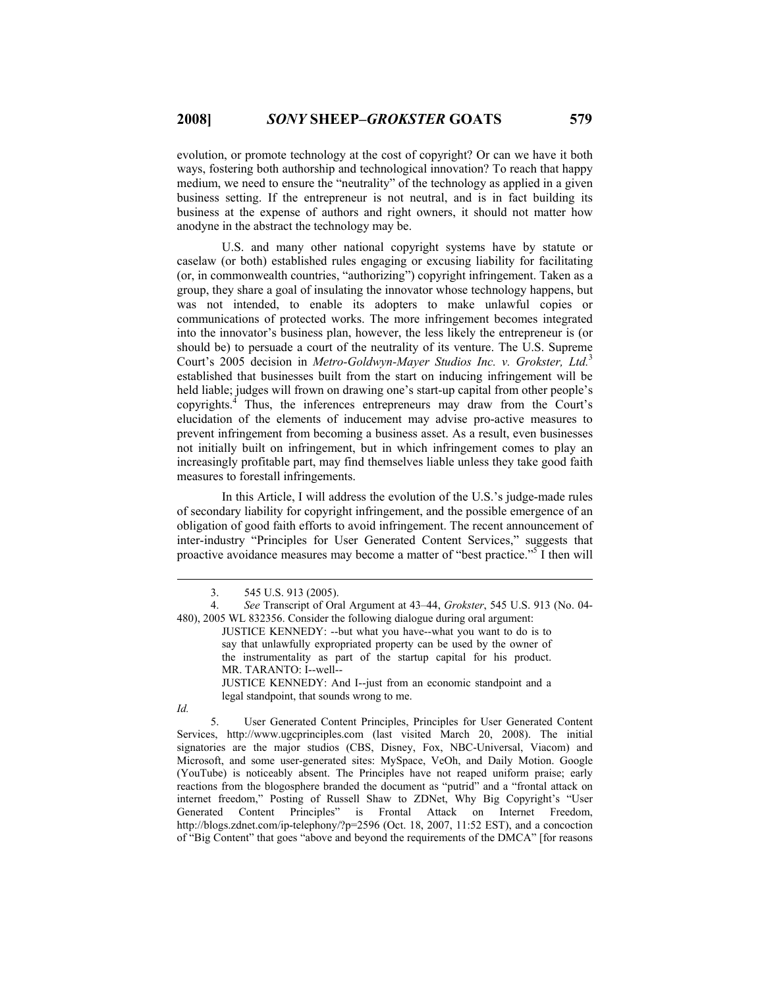evolution, or promote technology at the cost of copyright? Or can we have it both ways, fostering both authorship and technological innovation? To reach that happy medium, we need to ensure the "neutrality" of the technology as applied in a given business setting. If the entrepreneur is not neutral, and is in fact building its business at the expense of authors and right owners, it should not matter how anodyne in the abstract the technology may be.

U.S. and many other national copyright systems have by statute or caselaw (or both) established rules engaging or excusing liability for facilitating (or, in commonwealth countries, "authorizing") copyright infringement. Taken as a group, they share a goal of insulating the innovator whose technology happens, but was not intended, to enable its adopters to make unlawful copies or communications of protected works. The more infringement becomes integrated into the innovator's business plan, however, the less likely the entrepreneur is (or should be) to persuade a court of the neutrality of its venture. The U.S. Supreme Court's 2005 decision in *Metro-Goldwyn-Mayer Studios Inc. v. Grokster, Ltd.*<sup>3</sup> established that businesses built from the start on inducing infringement will be held liable; judges will frown on drawing one's start-up capital from other people's copyrights.<sup> $\AA$ </sup> Thus, the inferences entrepreneurs may draw from the Court's elucidation of the elements of inducement may advise pro-active measures to prevent infringement from becoming a business asset. As a result, even businesses not initially built on infringement, but in which infringement comes to play an increasingly profitable part, may find themselves liable unless they take good faith measures to forestall infringements.

In this Article, I will address the evolution of the U.S.'s judge-made rules of secondary liability for copyright infringement, and the possible emergence of an obligation of good faith efforts to avoid infringement. The recent announcement of inter-industry "Principles for User Generated Content Services," suggests that proactive avoidance measures may become a matter of "best practice."<sup>5</sup> I then will

JUSTICE KENNEDY: And I--just from an economic standpoint and a legal standpoint, that sounds wrong to me.

*Id.* 

 5. User Generated Content Principles, Principles for User Generated Content Services, http://www.ugcprinciples.com (last visited March 20, 2008). The initial signatories are the major studios (CBS, Disney, Fox, NBC-Universal, Viacom) and Microsoft, and some user-generated sites: MySpace, VeOh, and Daily Motion. Google (YouTube) is noticeably absent. The Principles have not reaped uniform praise; early reactions from the blogosphere branded the document as "putrid" and a "frontal attack on internet freedom," Posting of Russell Shaw to ZDNet, Why Big Copyright's "User Generated Content Principles" is Frontal Attack on Internet Freedom, http://blogs.zdnet.com/ip-telephony/?p=2596 (Oct. 18, 2007, 11:52 EST), and a concoction of "Big Content" that goes "above and beyond the requirements of the DMCA" [for reasons

 <sup>3. 545</sup> U.S. 913 (2005).

 <sup>4.</sup> *See* Transcript of Oral Argument at 43–44, *Grokster*, 545 U.S. 913 (No. 04- 480), 2005 WL 832356. Consider the following dialogue during oral argument:

JUSTICE KENNEDY: --but what you have--what you want to do is to say that unlawfully expropriated property can be used by the owner of the instrumentality as part of the startup capital for his product. MR. TARANTO: I--well--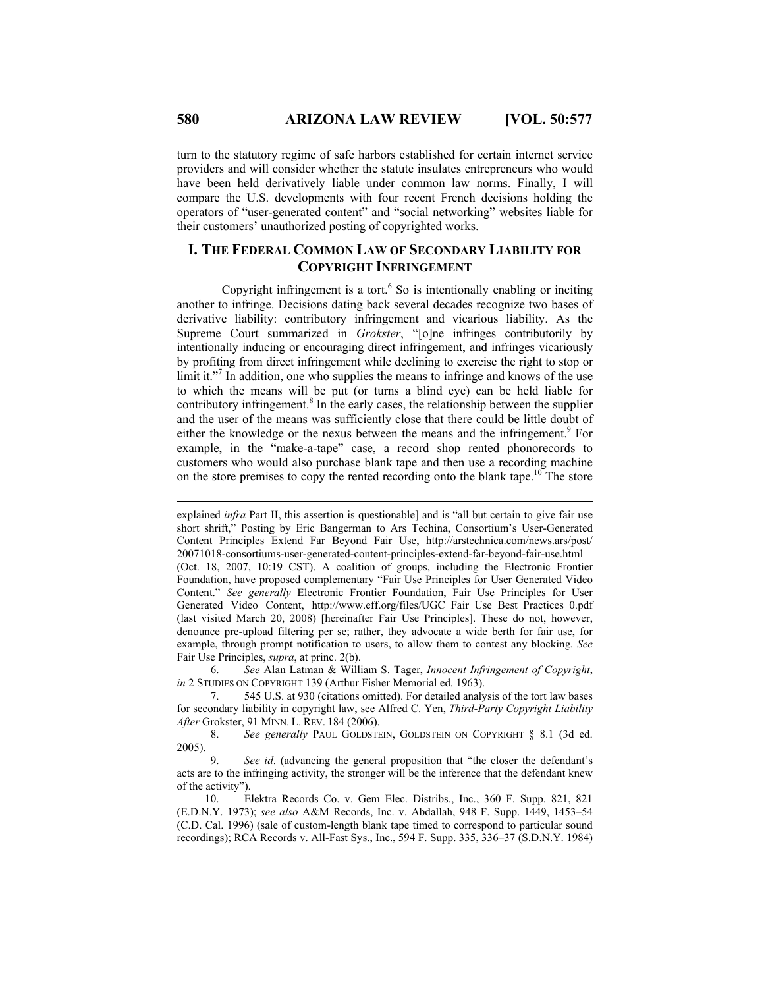turn to the statutory regime of safe harbors established for certain internet service providers and will consider whether the statute insulates entrepreneurs who would have been held derivatively liable under common law norms. Finally, I will compare the U.S. developments with four recent French decisions holding the operators of "user-generated content" and "social networking" websites liable for their customers' unauthorized posting of copyrighted works.

# **I. THE FEDERAL COMMON LAW OF SECONDARY LIABILITY FOR COPYRIGHT INFRINGEMENT**

Copyright infringement is a tort. $6$  So is intentionally enabling or inciting another to infringe. Decisions dating back several decades recognize two bases of derivative liability: contributory infringement and vicarious liability. As the Supreme Court summarized in *Grokster*, "[o]ne infringes contributorily by intentionally inducing or encouraging direct infringement, and infringes vicariously by profiting from direct infringement while declining to exercise the right to stop or limit it."<sup>7</sup> In addition, one who supplies the means to infringe and knows of the use to which the means will be put (or turns a blind eye) can be held liable for contributory infringement.<sup>8</sup> In the early cases, the relationship between the supplier and the user of the means was sufficiently close that there could be little doubt of either the knowledge or the nexus between the means and the infringement.<sup>9</sup> For example, in the "make-a-tape" case, a record shop rented phonorecords to customers who would also purchase blank tape and then use a recording machine on the store premises to copy the rented recording onto the blank tape.<sup>10</sup> The store

 6. *See* Alan Latman & William S. Tager, *Innocent Infringement of Copyright*, *in* 2 STUDIES ON COPYRIGHT 139 (Arthur Fisher Memorial ed. 1963).

 7. 545 U.S. at 930 (citations omitted). For detailed analysis of the tort law bases for secondary liability in copyright law, see Alfred C. Yen, *Third-Party Copyright Liability After* Grokster, 91 MINN. L. REV. 184 (2006).

 8. *See generally* PAUL GOLDSTEIN, GOLDSTEIN ON COPYRIGHT § 8.1 (3d ed. 2005).

 9. *See id*. (advancing the general proposition that "the closer the defendant's acts are to the infringing activity, the stronger will be the inference that the defendant knew of the activity").

 10. Elektra Records Co. v. Gem Elec. Distribs., Inc., 360 F. Supp. 821, 821 (E.D.N.Y. 1973); *see also* A&M Records, Inc. v. Abdallah, 948 F. Supp. 1449, 1453–54 (C.D. Cal. 1996) (sale of custom-length blank tape timed to correspond to particular sound recordings); RCA Records v. All-Fast Sys., Inc., 594 F. Supp. 335, 336–37 (S.D.N.Y. 1984)

 $\overline{a}$ 

explained *infra* Part II, this assertion is questionable] and is "all but certain to give fair use short shrift," Posting by Eric Bangerman to Ars Techina, Consortium's User-Generated Content Principles Extend Far Beyond Fair Use, http://arstechnica.com/news.ars/post/ 20071018-consortiums-user-generated-content-principles-extend-far-beyond-fair-use.html (Oct. 18, 2007, 10:19 CST). A coalition of groups, including the Electronic Frontier Foundation, have proposed complementary "Fair Use Principles for User Generated Video Content." *See generally* Electronic Frontier Foundation, Fair Use Principles for User Generated Video Content, http://www.eff.org/files/UGC\_Fair\_Use\_Best\_Practices\_0.pdf (last visited March 20, 2008) [hereinafter Fair Use Principles]. These do not, however, denounce pre-upload filtering per se; rather, they advocate a wide berth for fair use, for example, through prompt notification to users, to allow them to contest any blocking*. See* Fair Use Principles, *supra*, at princ. 2(b).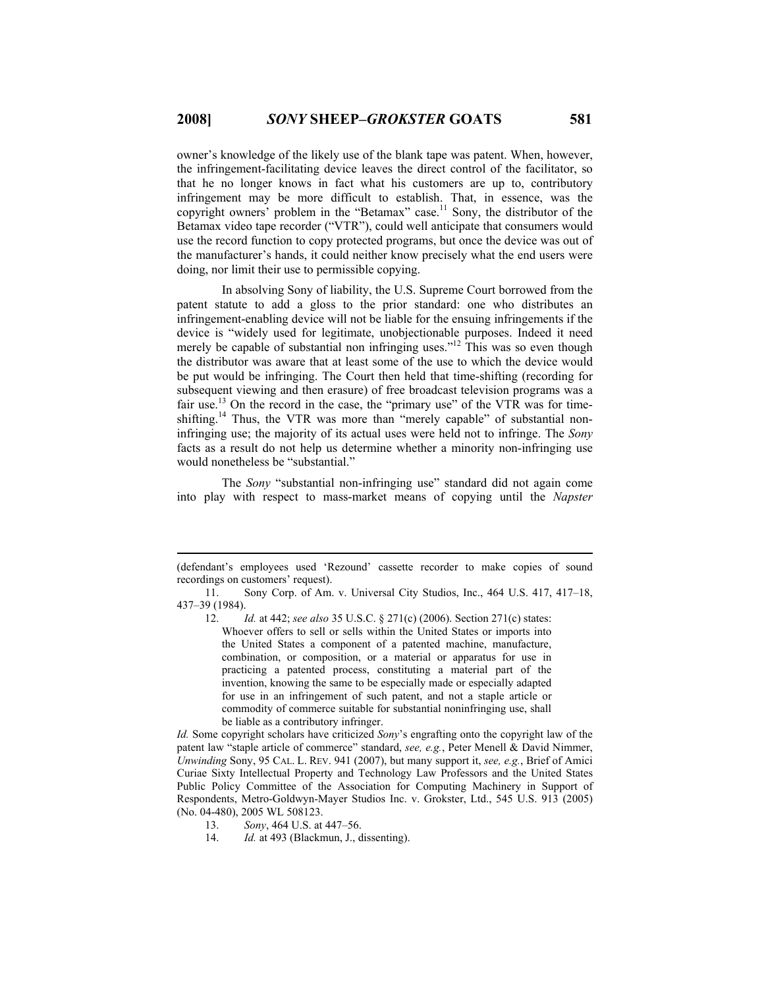owner's knowledge of the likely use of the blank tape was patent. When, however, the infringement-facilitating device leaves the direct control of the facilitator, so that he no longer knows in fact what his customers are up to, contributory infringement may be more difficult to establish. That, in essence, was the copyright owners' problem in the "Betamax" case.<sup>11</sup> Sony, the distributor of the Betamax video tape recorder ("VTR"), could well anticipate that consumers would use the record function to copy protected programs, but once the device was out of the manufacturer's hands, it could neither know precisely what the end users were doing, nor limit their use to permissible copying.

In absolving Sony of liability, the U.S. Supreme Court borrowed from the patent statute to add a gloss to the prior standard: one who distributes an infringement-enabling device will not be liable for the ensuing infringements if the device is "widely used for legitimate, unobjectionable purposes. Indeed it need merely be capable of substantial non infringing uses."<sup>12</sup> This was so even though the distributor was aware that at least some of the use to which the device would be put would be infringing. The Court then held that time-shifting (recording for subsequent viewing and then erasure) of free broadcast television programs was a fair use.<sup>13</sup> On the record in the case, the "primary use" of the VTR was for timeshifting.<sup>14</sup> Thus, the VTR was more than "merely capable" of substantial noninfringing use; the majority of its actual uses were held not to infringe. The *Sony* facts as a result do not help us determine whether a minority non-infringing use would nonetheless be "substantial."

The *Sony* "substantial non-infringing use" standard did not again come into play with respect to mass-market means of copying until the *Napster* 

 $\overline{a}$ 

14. *Id.* at 493 (Blackmun, J., dissenting).

<sup>(</sup>defendant's employees used 'Rezound' cassette recorder to make copies of sound recordings on customers' request).

 <sup>11.</sup> Sony Corp. of Am. v. Universal City Studios, Inc., 464 U.S. 417, 417–18, 437–39 (1984).

 <sup>12.</sup> *Id.* at 442; *see also* 35 U.S.C. § 271(c) (2006). Section 271(c) states: Whoever offers to sell or sells within the United States or imports into the United States a component of a patented machine, manufacture, combination, or composition, or a material or apparatus for use in practicing a patented process, constituting a material part of the invention, knowing the same to be especially made or especially adapted for use in an infringement of such patent, and not a staple article or commodity of commerce suitable for substantial noninfringing use, shall be liable as a contributory infringer.

*Id.* Some copyright scholars have criticized *Sony*'s engrafting onto the copyright law of the patent law "staple article of commerce" standard, *see, e.g.*, Peter Menell & David Nimmer, *Unwinding* Sony, 95 CAL. L. REV. 941 (2007), but many support it, *see, e.g.*, Brief of Amici Curiae Sixty Intellectual Property and Technology Law Professors and the United States Public Policy Committee of the Association for Computing Machinery in Support of Respondents, Metro-Goldwyn-Mayer Studios Inc. v. Grokster, Ltd., 545 U.S. 913 (2005) (No. 04-480), 2005 WL 508123.

 <sup>13.</sup> *Sony*, 464 U.S. at 447–56.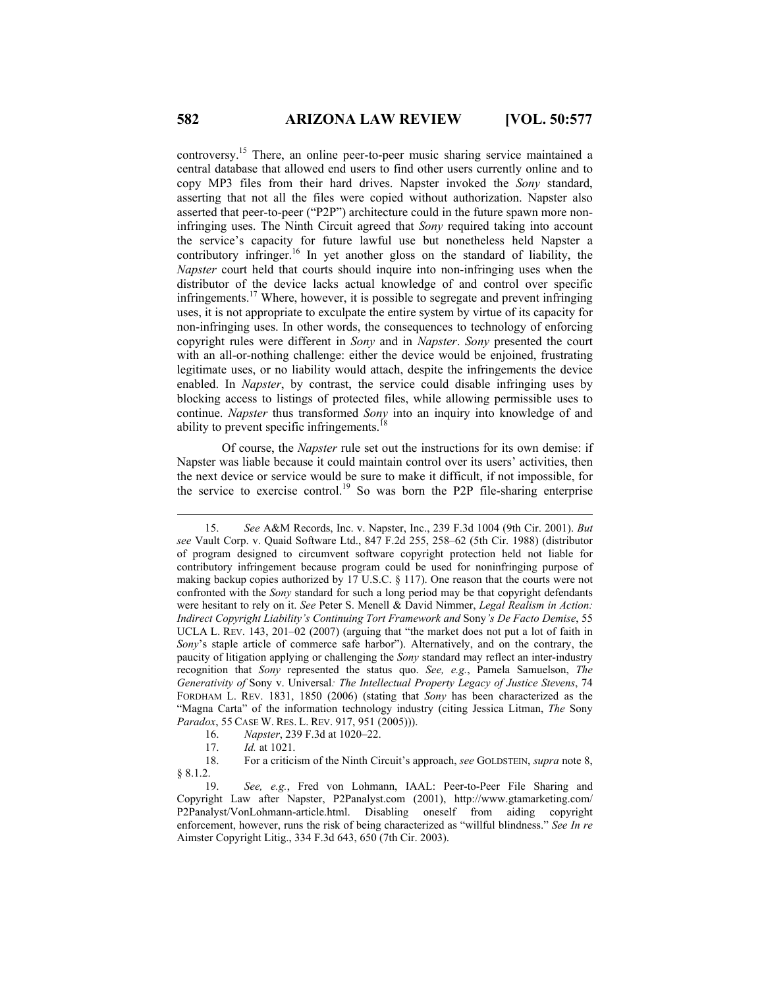controversy.15 There, an online peer-to-peer music sharing service maintained a central database that allowed end users to find other users currently online and to copy MP3 files from their hard drives. Napster invoked the *Sony* standard, asserting that not all the files were copied without authorization. Napster also asserted that peer-to-peer ("P2P") architecture could in the future spawn more noninfringing uses. The Ninth Circuit agreed that *Sony* required taking into account the service's capacity for future lawful use but nonetheless held Napster a contributory infringer.<sup>16</sup> In yet another gloss on the standard of liability, the *Napster* court held that courts should inquire into non-infringing uses when the distributor of the device lacks actual knowledge of and control over specific infringements.17 Where, however, it is possible to segregate and prevent infringing uses, it is not appropriate to exculpate the entire system by virtue of its capacity for non-infringing uses. In other words, the consequences to technology of enforcing copyright rules were different in *Sony* and in *Napster*. *Sony* presented the court with an all-or-nothing challenge: either the device would be enjoined, frustrating legitimate uses, or no liability would attach, despite the infringements the device enabled. In *Napster*, by contrast, the service could disable infringing uses by blocking access to listings of protected files, while allowing permissible uses to continue. *Napster* thus transformed *Sony* into an inquiry into knowledge of and ability to prevent specific infringements.<sup>18</sup>

Of course, the *Napster* rule set out the instructions for its own demise: if Napster was liable because it could maintain control over its users' activities, then the next device or service would be sure to make it difficult, if not impossible, for the service to exercise control.<sup>19</sup> So was born the P2P file-sharing enterprise

 <sup>15.</sup> *See* A&M Records, Inc. v. Napster, Inc., 239 F.3d 1004 (9th Cir. 2001). *But see* Vault Corp. v. Quaid Software Ltd., 847 F.2d 255, 258–62 (5th Cir. 1988) (distributor of program designed to circumvent software copyright protection held not liable for contributory infringement because program could be used for noninfringing purpose of making backup copies authorized by 17 U.S.C. § 117). One reason that the courts were not confronted with the *Sony* standard for such a long period may be that copyright defendants were hesitant to rely on it. *See* Peter S. Menell & David Nimmer, *Legal Realism in Action: Indirect Copyright Liability's Continuing Tort Framework and* Sony*'s De Facto Demise*, 55 UCLA L. REV. 143, 201–02 (2007) (arguing that "the market does not put a lot of faith in *Sony*'s staple article of commerce safe harbor"). Alternatively, and on the contrary, the paucity of litigation applying or challenging the *Sony* standard may reflect an inter-industry recognition that *Sony* represented the status quo. *See, e.g.*, Pamela Samuelson, *The Generativity of* Sony v. Universal*: The Intellectual Property Legacy of Justice Stevens*, 74 FORDHAM L. REV. 1831, 1850 (2006) (stating that *Sony* has been characterized as the "Magna Carta" of the information technology industry (citing Jessica Litman, *The* Sony *Paradox*, 55 CASE W. RES. L. REV. 917, 951 (2005))).

 <sup>16.</sup> *Napster*, 239 F.3d at 1020–22.

 <sup>17.</sup> *Id.* at 1021.

 <sup>18.</sup> For a criticism of the Ninth Circuit's approach, *see* GOLDSTEIN, *supra* note 8, § 8.1.2.

 <sup>19.</sup> *See, e.g.*, Fred von Lohmann, IAAL: Peer-to-Peer File Sharing and Copyright Law after Napster, P2Panalyst.com (2001), http://www.gtamarketing.com/ P2Panalyst/VonLohmann-article.html. Disabling oneself from aiding copyright enforcement, however, runs the risk of being characterized as "willful blindness." *See In re* Aimster Copyright Litig., 334 F.3d 643, 650 (7th Cir. 2003).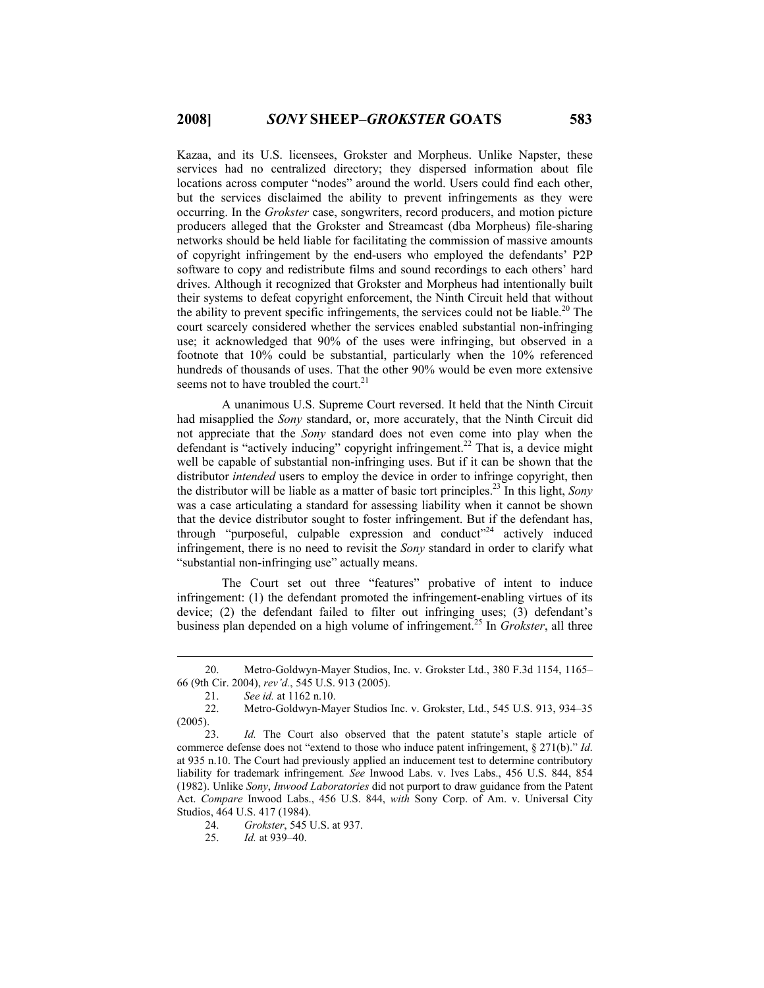Kazaa, and its U.S. licensees, Grokster and Morpheus. Unlike Napster, these services had no centralized directory; they dispersed information about file locations across computer "nodes" around the world. Users could find each other, but the services disclaimed the ability to prevent infringements as they were occurring. In the *Grokster* case, songwriters, record producers, and motion picture producers alleged that the Grokster and Streamcast (dba Morpheus) file-sharing networks should be held liable for facilitating the commission of massive amounts of copyright infringement by the end-users who employed the defendants' P2P software to copy and redistribute films and sound recordings to each others' hard drives. Although it recognized that Grokster and Morpheus had intentionally built their systems to defeat copyright enforcement, the Ninth Circuit held that without the ability to prevent specific infringements, the services could not be liable.<sup>20</sup> The court scarcely considered whether the services enabled substantial non-infringing use; it acknowledged that 90% of the uses were infringing, but observed in a footnote that 10% could be substantial, particularly when the 10% referenced hundreds of thousands of uses. That the other 90% would be even more extensive seems not to have troubled the court. $21$ 

A unanimous U.S. Supreme Court reversed. It held that the Ninth Circuit had misapplied the *Sony* standard, or, more accurately, that the Ninth Circuit did not appreciate that the *Sony* standard does not even come into play when the defendant is "actively inducing" copyright infringement.<sup>22</sup> That is, a device might well be capable of substantial non-infringing uses. But if it can be shown that the distributor *intended* users to employ the device in order to infringe copyright, then the distributor will be liable as a matter of basic tort principles.23 In this light, *Sony* was a case articulating a standard for assessing liability when it cannot be shown that the device distributor sought to foster infringement. But if the defendant has, through "purposeful, culpable expression and conduct"<sup>24</sup> actively induced infringement, there is no need to revisit the *Sony* standard in order to clarify what "substantial non-infringing use" actually means.

The Court set out three "features" probative of intent to induce infringement: (1) the defendant promoted the infringement-enabling virtues of its device; (2) the defendant failed to filter out infringing uses; (3) defendant's business plan depended on a high volume of infringement.25 In *Grokster*, all three

 <sup>20.</sup> Metro-Goldwyn-Mayer Studios, Inc. v. Grokster Ltd., 380 F.3d 1154, 1165– 66 (9th Cir. 2004), *rev'd.*, 545 U.S. 913 (2005).

 <sup>21.</sup> *See id.* at 1162 n.10.

 <sup>22.</sup> Metro-Goldwyn-Mayer Studios Inc. v. Grokster, Ltd., 545 U.S. 913, 934–35 (2005).

 <sup>23.</sup> *Id.* The Court also observed that the patent statute's staple article of commerce defense does not "extend to those who induce patent infringement, § 271(b)." *Id*. at 935 n.10. The Court had previously applied an inducement test to determine contributory liability for trademark infringement*. See* Inwood Labs. v. Ives Labs., 456 U.S. 844, 854 (1982). Unlike *Sony*, *Inwood Laboratories* did not purport to draw guidance from the Patent Act. *Compare* Inwood Labs., 456 U.S. 844, *with* Sony Corp. of Am. v. Universal City Studios, 464 U.S. 417 (1984).

 <sup>24.</sup> *Grokster*, 545 U.S. at 937.

 <sup>25.</sup> *Id.* at 939–40.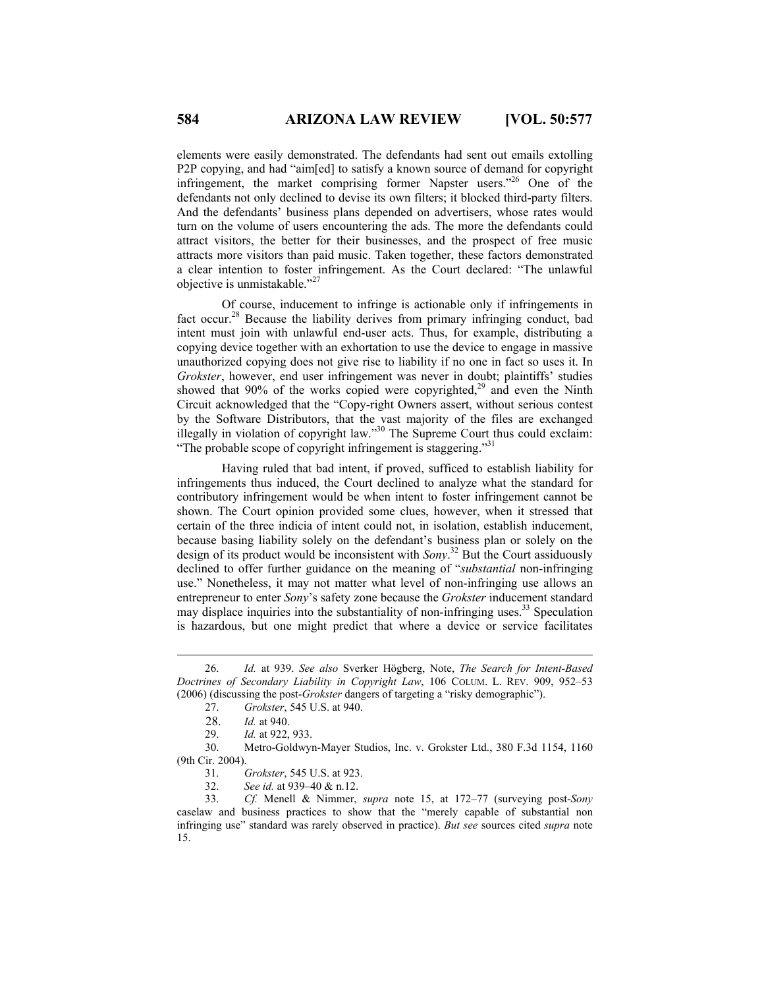elements were easily demonstrated. The defendants had sent out emails extolling P2P copying, and had "aim[ed] to satisfy a known source of demand for copyright infringement, the market comprising former Napster users."26 One of the defendants not only declined to devise its own filters; it blocked third-party filters. And the defendants' business plans depended on advertisers, whose rates would turn on the volume of users encountering the ads. The more the defendants could attract visitors, the better for their businesses, and the prospect of free music attracts more visitors than paid music. Taken together, these factors demonstrated a clear intention to foster infringement. As the Court declared: "The unlawful objective is unmistakable."27

Of course, inducement to infringe is actionable only if infringements in fact occur.<sup>28</sup> Because the liability derives from primary infringing conduct, bad intent must join with unlawful end-user acts. Thus, for example, distributing a copying device together with an exhortation to use the device to engage in massive unauthorized copying does not give rise to liability if no one in fact so uses it. In *Grokster*, however, end user infringement was never in doubt; plaintiffs' studies showed that  $90\%$  of the works copied were copyrighted,<sup>29</sup> and even the Ninth Circuit acknowledged that the "Copy-right Owners assert, without serious contest by the Software Distributors, that the vast majority of the files are exchanged illegally in violation of copyright law."<sup>30</sup> The Supreme Court thus could exclaim: "The probable scope of copyright infringement is staggering."<sup>31</sup>

Having ruled that bad intent, if proved, sufficed to establish liability for infringements thus induced, the Court declined to analyze what the standard for contributory infringement would be when intent to foster infringement cannot be shown. The Court opinion provided some clues, however, when it stressed that certain of the three indicia of intent could not, in isolation, establish inducement, because basing liability solely on the defendant's business plan or solely on the design of its product would be inconsistent with *Sony*. 32 But the Court assiduously declined to offer further guidance on the meaning of "*substantial* non-infringing use." Nonetheless, it may not matter what level of non-infringing use allows an entrepreneur to enter *Sony*'s safety zone because the *Grokster* inducement standard may displace inquiries into the substantiality of non-infringing uses.<sup>33</sup> Speculation is hazardous, but one might predict that where a device or service facilitates

 30. Metro-Goldwyn-Mayer Studios, Inc. v. Grokster Ltd., 380 F.3d 1154, 1160 (9th Cir. 2004).

32. *See id.* at 939–40 & n.12.

 33. *Cf.* Menell & Nimmer, *supra* note 15, at 172–77 (surveying post-*Sony* caselaw and business practices to show that the "merely capable of substantial non infringing use" standard was rarely observed in practice). *But see* sources cited *supra* note 15.

 <sup>26.</sup> *Id.* at 939. *See also* Sverker Högberg, Note, *The Search for Intent-Based Doctrines of Secondary Liability in Copyright Law*, 106 COLUM. L. REV. 909, 952–53 (2006) (discussing the post-*Grokster* dangers of targeting a "risky demographic").

 <sup>27.</sup> *Grokster*, 545 U.S. at 940.

 <sup>28.</sup> *Id.* at 940.

 <sup>29.</sup> *Id.* at 922, 933.

 <sup>31.</sup> *Grokster*, 545 U.S. at 923.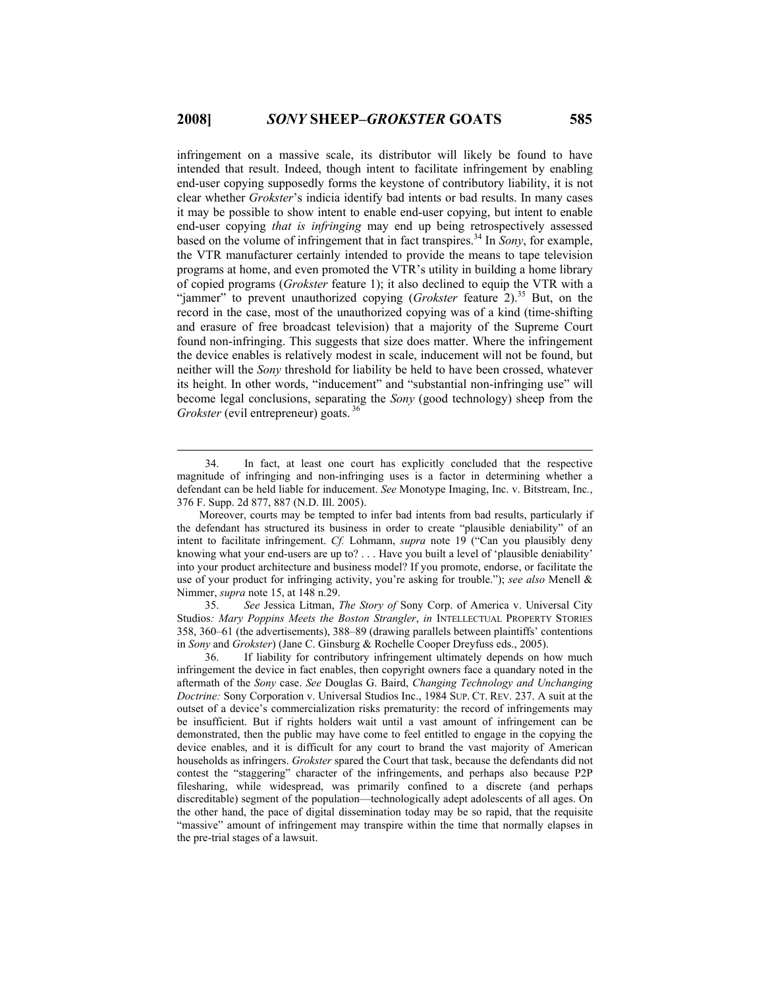infringement on a massive scale, its distributor will likely be found to have intended that result. Indeed, though intent to facilitate infringement by enabling end-user copying supposedly forms the keystone of contributory liability, it is not clear whether *Grokster*'s indicia identify bad intents or bad results. In many cases it may be possible to show intent to enable end-user copying, but intent to enable end-user copying *that is infringing* may end up being retrospectively assessed based on the volume of infringement that in fact transpires.<sup>34</sup> In *Sony*, for example, the VTR manufacturer certainly intended to provide the means to tape television programs at home, and even promoted the VTR's utility in building a home library of copied programs (*Grokster* feature 1); it also declined to equip the VTR with a "jammer" to prevent unauthorized copying (*Grokster* feature 2).<sup>35</sup> But, on the record in the case, most of the unauthorized copying was of a kind (time-shifting and erasure of free broadcast television) that a majority of the Supreme Court found non-infringing. This suggests that size does matter. Where the infringement the device enables is relatively modest in scale, inducement will not be found, but neither will the *Sony* threshold for liability be held to have been crossed, whatever its height. In other words, "inducement" and "substantial non-infringing use" will become legal conclusions, separating the *Sony* (good technology) sheep from the *Grokster* (evil entrepreneur) goats.<sup>36</sup>

 35. *See* Jessica Litman, *The Story of* Sony Corp. of America v. Universal City Studios*: Mary Poppins Meets the Boston Strangler*, *in* INTELLECTUAL PROPERTY STORIES 358, 360–61 (the advertisements), 388–89 (drawing parallels between plaintiffs' contentions in *Sony* and *Grokster*) (Jane C. Ginsburg & Rochelle Cooper Dreyfuss eds., 2005).

 <sup>34.</sup> In fact, at least one court has explicitly concluded that the respective magnitude of infringing and non-infringing uses is a factor in determining whether a defendant can be held liable for inducement. *See* Monotype Imaging, Inc. v. Bitstream, Inc*.*, 376 F. Supp. 2d 877, 887 (N.D. Ill. 2005).

Moreover, courts may be tempted to infer bad intents from bad results, particularly if the defendant has structured its business in order to create "plausible deniability" of an intent to facilitate infringement. *Cf.* Lohmann, *supra* note 19 ("Can you plausibly deny knowing what your end-users are up to? . . . Have you built a level of 'plausible deniability' into your product architecture and business model? If you promote, endorse, or facilitate the use of your product for infringing activity, you're asking for trouble."); *see also* Menell & Nimmer, *supra* note 15, at 148 n.29.

 <sup>36.</sup> If liability for contributory infringement ultimately depends on how much infringement the device in fact enables, then copyright owners face a quandary noted in the aftermath of the *Sony* case. *See* Douglas G. Baird, *Changing Technology and Unchanging Doctrine:* Sony Corporation v. Universal Studios Inc., 1984 SUP. CT. REV. 237. A suit at the outset of a device's commercialization risks prematurity: the record of infringements may be insufficient. But if rights holders wait until a vast amount of infringement can be demonstrated, then the public may have come to feel entitled to engage in the copying the device enables, and it is difficult for any court to brand the vast majority of American households as infringers. *Grokster* spared the Court that task, because the defendants did not contest the "staggering" character of the infringements, and perhaps also because P2P filesharing, while widespread, was primarily confined to a discrete (and perhaps discreditable) segment of the population—technologically adept adolescents of all ages. On the other hand, the pace of digital dissemination today may be so rapid, that the requisite "massive" amount of infringement may transpire within the time that normally elapses in the pre-trial stages of a lawsuit.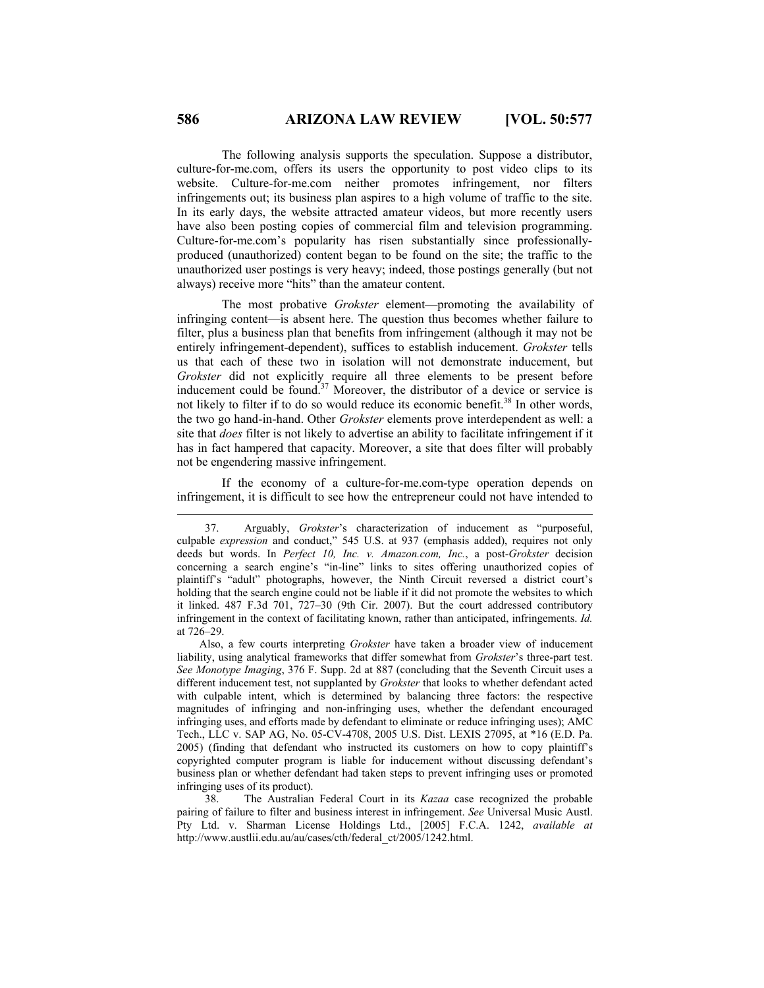The following analysis supports the speculation. Suppose a distributor, culture-for-me.com, offers its users the opportunity to post video clips to its website. Culture-for-me.com neither promotes infringement, nor filters infringements out; its business plan aspires to a high volume of traffic to the site. In its early days, the website attracted amateur videos, but more recently users have also been posting copies of commercial film and television programming. Culture-for-me.com's popularity has risen substantially since professionallyproduced (unauthorized) content began to be found on the site; the traffic to the unauthorized user postings is very heavy; indeed, those postings generally (but not always) receive more "hits" than the amateur content.

The most probative *Grokster* element—promoting the availability of infringing content—is absent here. The question thus becomes whether failure to filter, plus a business plan that benefits from infringement (although it may not be entirely infringement-dependent), suffices to establish inducement. *Grokster* tells us that each of these two in isolation will not demonstrate inducement, but *Grokster* did not explicitly require all three elements to be present before inducement could be found.<sup>37</sup> Moreover, the distributor of a device or service is not likely to filter if to do so would reduce its economic benefit.<sup>38</sup> In other words, the two go hand-in-hand. Other *Grokster* elements prove interdependent as well: a site that *does* filter is not likely to advertise an ability to facilitate infringement if it has in fact hampered that capacity. Moreover, a site that does filter will probably not be engendering massive infringement.

If the economy of a culture-for-me.com-type operation depends on infringement, it is difficult to see how the entrepreneur could not have intended to

 38. The Australian Federal Court in its *Kazaa* case recognized the probable pairing of failure to filter and business interest in infringement. *See* Universal Music Austl. Pty Ltd. v. Sharman License Holdings Ltd., [2005] F.C.A. 1242, *available at*  http://www.austlii.edu.au/au/cases/cth/federal\_ct/2005/1242.html.

 <sup>37.</sup> Arguably, *Grokster*'s characterization of inducement as "purposeful, culpable *expression* and conduct," 545 U.S. at 937 (emphasis added), requires not only deeds but words. In *Perfect 10, Inc. v. Amazon.com, Inc.*, a post-*Grokster* decision concerning a search engine's "in-line" links to sites offering unauthorized copies of plaintiff's "adult" photographs, however, the Ninth Circuit reversed a district court's holding that the search engine could not be liable if it did not promote the websites to which it linked. 487 F.3d 701, 727–30 (9th Cir. 2007). But the court addressed contributory infringement in the context of facilitating known, rather than anticipated, infringements. *Id.*  at 726–29.

Also, a few courts interpreting *Grokster* have taken a broader view of inducement liability, using analytical frameworks that differ somewhat from *Grokster*'s three-part test. *See Monotype Imaging*, 376 F. Supp. 2d at 887 (concluding that the Seventh Circuit uses a different inducement test, not supplanted by *Grokster* that looks to whether defendant acted with culpable intent, which is determined by balancing three factors: the respective magnitudes of infringing and non-infringing uses, whether the defendant encouraged infringing uses, and efforts made by defendant to eliminate or reduce infringing uses); AMC Tech., LLC v. SAP AG, No. 05-CV-4708, 2005 U.S. Dist. LEXIS 27095, at \*16 (E.D. Pa. 2005) (finding that defendant who instructed its customers on how to copy plaintiff's copyrighted computer program is liable for inducement without discussing defendant's business plan or whether defendant had taken steps to prevent infringing uses or promoted infringing uses of its product).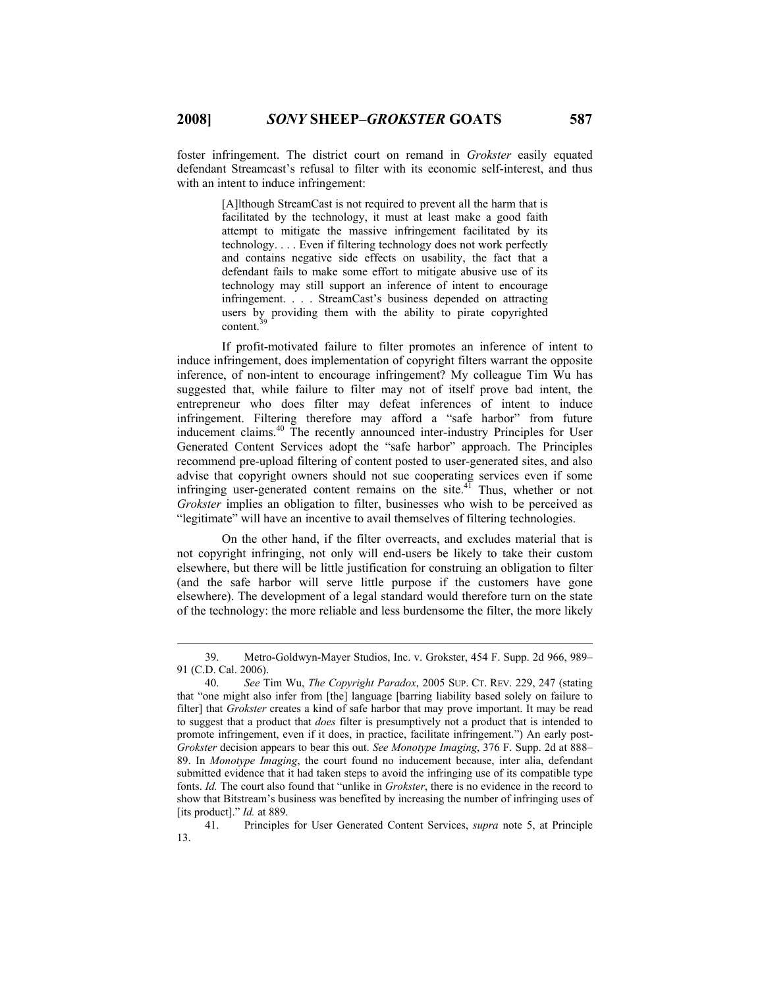foster infringement. The district court on remand in *Grokster* easily equated defendant Streamcast's refusal to filter with its economic self-interest, and thus with an intent to induce infringement:

> [A]lthough StreamCast is not required to prevent all the harm that is facilitated by the technology, it must at least make a good faith attempt to mitigate the massive infringement facilitated by its technology. . . . Even if filtering technology does not work perfectly and contains negative side effects on usability, the fact that a defendant fails to make some effort to mitigate abusive use of its technology may still support an inference of intent to encourage infringement. . . . StreamCast's business depended on attracting users by providing them with the ability to pirate copyrighted content.<sup>3</sup>

If profit-motivated failure to filter promotes an inference of intent to induce infringement, does implementation of copyright filters warrant the opposite inference, of non-intent to encourage infringement? My colleague Tim Wu has suggested that, while failure to filter may not of itself prove bad intent, the entrepreneur who does filter may defeat inferences of intent to induce infringement. Filtering therefore may afford a "safe harbor" from future inducement claims.40 The recently announced inter-industry Principles for User Generated Content Services adopt the "safe harbor" approach. The Principles recommend pre-upload filtering of content posted to user-generated sites, and also advise that copyright owners should not sue cooperating services even if some infringing user-generated content remains on the site. $4^{\overline{1}}$  Thus, whether or not *Grokster* implies an obligation to filter, businesses who wish to be perceived as "legitimate" will have an incentive to avail themselves of filtering technologies.

On the other hand, if the filter overreacts, and excludes material that is not copyright infringing, not only will end-users be likely to take their custom elsewhere, but there will be little justification for construing an obligation to filter (and the safe harbor will serve little purpose if the customers have gone elsewhere). The development of a legal standard would therefore turn on the state of the technology: the more reliable and less burdensome the filter, the more likely

 <sup>39.</sup> Metro-Goldwyn-Mayer Studios, Inc. v. Grokster, 454 F. Supp. 2d 966, 989– 91 (C.D. Cal. 2006).

 <sup>40.</sup> *See* Tim Wu, *The Copyright Paradox*, 2005 SUP. CT. REV. 229, 247 (stating that "one might also infer from [the] language [barring liability based solely on failure to filter] that *Grokster* creates a kind of safe harbor that may prove important. It may be read to suggest that a product that *does* filter is presumptively not a product that is intended to promote infringement, even if it does, in practice, facilitate infringement.") An early post-*Grokster* decision appears to bear this out. *See Monotype Imaging*, 376 F. Supp. 2d at 888– 89. In *Monotype Imaging*, the court found no inducement because, inter alia, defendant submitted evidence that it had taken steps to avoid the infringing use of its compatible type fonts. *Id.* The court also found that "unlike in *Grokster*, there is no evidence in the record to show that Bitstream's business was benefited by increasing the number of infringing uses of [its product]." *Id.* at 889.

 <sup>41.</sup> Principles for User Generated Content Services, *supra* note 5, at Principle 13.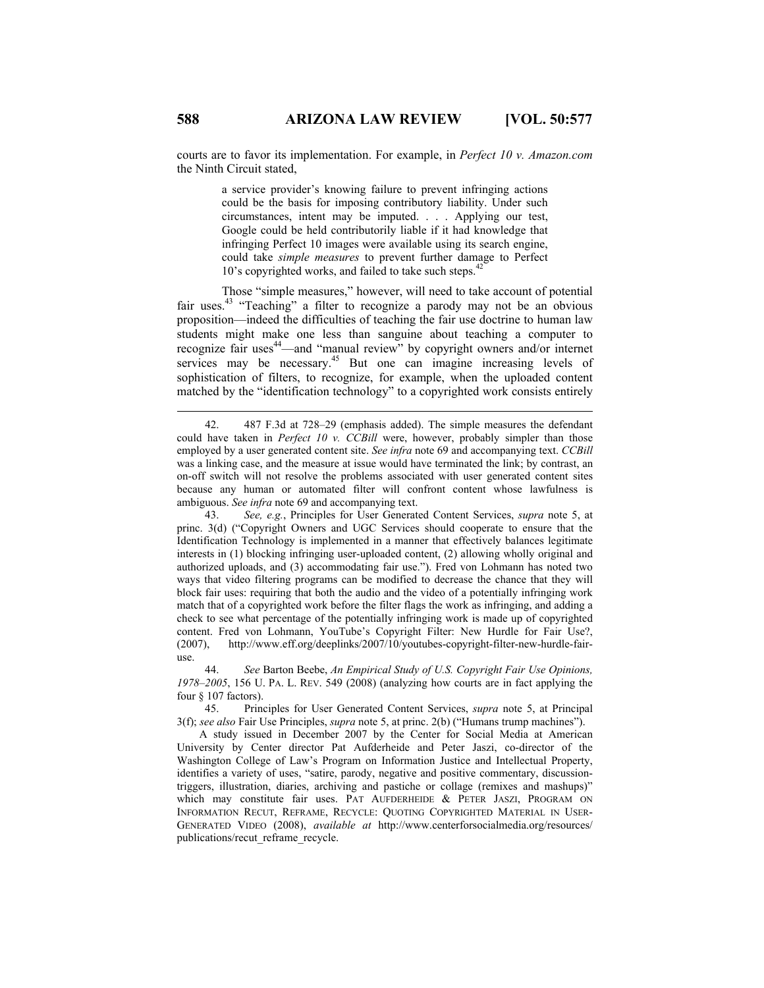courts are to favor its implementation. For example, in *Perfect 10 v. Amazon.com* the Ninth Circuit stated,

> a service provider's knowing failure to prevent infringing actions could be the basis for imposing contributory liability. Under such circumstances, intent may be imputed. . . . Applying our test, Google could be held contributorily liable if it had knowledge that infringing Perfect 10 images were available using its search engine, could take *simple measures* to prevent further damage to Perfect 10's copyrighted works, and failed to take such steps.<sup>42</sup>

Those "simple measures," however, will need to take account of potential fair uses.<sup>43</sup> "Teaching" a filter to recognize a parody may not be an obvious proposition—indeed the difficulties of teaching the fair use doctrine to human law students might make one less than sanguine about teaching a computer to recognize fair uses<sup>44</sup>—and "manual review" by copyright owners and/or internet services may be necessary.<sup>45</sup> But one can imagine increasing levels of sophistication of filters, to recognize, for example, when the uploaded content matched by the "identification technology" to a copyrighted work consists entirely

 42. 487 F.3d at 728–29 (emphasis added). The simple measures the defendant could have taken in *Perfect 10 v. CCBill* were, however, probably simpler than those employed by a user generated content site. *See infra* note 69 and accompanying text. *CCBill* was a linking case, and the measure at issue would have terminated the link; by contrast, an on-off switch will not resolve the problems associated with user generated content sites because any human or automated filter will confront content whose lawfulness is ambiguous. *See infra* note 69 and accompanying text.

 43. *See, e.g.*, Principles for User Generated Content Services, *supra* note 5, at princ. 3(d) ("Copyright Owners and UGC Services should cooperate to ensure that the Identification Technology is implemented in a manner that effectively balances legitimate interests in (1) blocking infringing user-uploaded content, (2) allowing wholly original and authorized uploads, and (3) accommodating fair use."). Fred von Lohmann has noted two ways that video filtering programs can be modified to decrease the chance that they will block fair uses: requiring that both the audio and the video of a potentially infringing work match that of a copyrighted work before the filter flags the work as infringing, and adding a check to see what percentage of the potentially infringing work is made up of copyrighted content. Fred von Lohmann, YouTube's Copyright Filter: New Hurdle for Fair Use?, (2007), http://www.eff.org/deeplinks/2007/10/youtubes-copyright-filter-new-hurdle-fairuse.

 44. *See* Barton Beebe, *An Empirical Study of U.S. Copyright Fair Use Opinions, 1978–2005*, 156 U. PA. L. REV. 549 (2008) (analyzing how courts are in fact applying the four § 107 factors).

 45. Principles for User Generated Content Services, *supra* note 5, at Principal 3(f); *see also* Fair Use Principles, *supra* note 5, at princ. 2(b) ("Humans trump machines").

A study issued in December 2007 by the Center for Social Media at American University by Center director Pat Aufderheide and Peter Jaszi, co-director of the Washington College of Law's Program on Information Justice and Intellectual Property, identifies a variety of uses, "satire, parody, negative and positive commentary, discussiontriggers, illustration, diaries, archiving and pastiche or collage (remixes and mashups)" which may constitute fair uses. PAT AUFDERHEIDE & PETER JASZI, PROGRAM ON INFORMATION RECUT, REFRAME, RECYCLE: QUOTING COPYRIGHTED MATERIAL IN USER-GENERATED VIDEO (2008), *available at* http://www.centerforsocialmedia.org/resources/ publications/recut\_reframe\_recycle.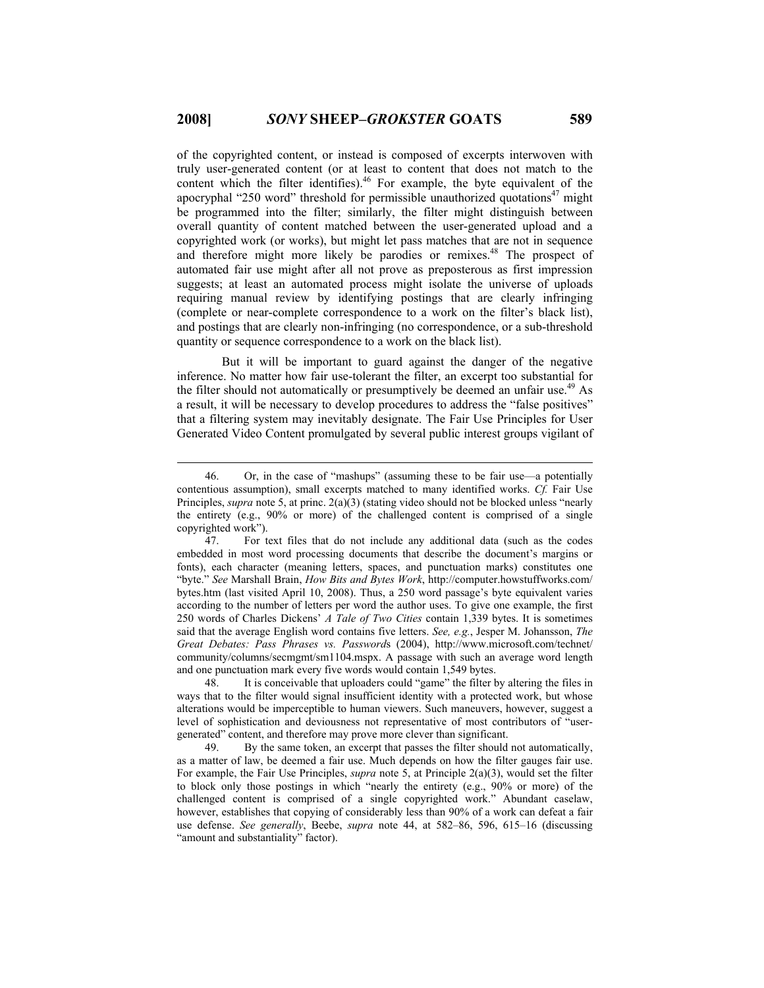of the copyrighted content, or instead is composed of excerpts interwoven with truly user-generated content (or at least to content that does not match to the content which the filter identifies).<sup>46</sup> For example, the byte equivalent of the apocryphal "250 word" threshold for permissible unauthorized quotations $47$  might be programmed into the filter; similarly, the filter might distinguish between overall quantity of content matched between the user-generated upload and a copyrighted work (or works), but might let pass matches that are not in sequence and therefore might more likely be parodies or remixes.<sup>48</sup> The prospect of automated fair use might after all not prove as preposterous as first impression suggests; at least an automated process might isolate the universe of uploads requiring manual review by identifying postings that are clearly infringing (complete or near-complete correspondence to a work on the filter's black list), and postings that are clearly non-infringing (no correspondence, or a sub-threshold quantity or sequence correspondence to a work on the black list).

But it will be important to guard against the danger of the negative inference. No matter how fair use-tolerant the filter, an excerpt too substantial for the filter should not automatically or presumptively be deemed an unfair use.<sup>49</sup> As a result, it will be necessary to develop procedures to address the "false positives" that a filtering system may inevitably designate. The Fair Use Principles for User Generated Video Content promulgated by several public interest groups vigilant of

 48. It is conceivable that uploaders could "game" the filter by altering the files in ways that to the filter would signal insufficient identity with a protected work, but whose alterations would be imperceptible to human viewers. Such maneuvers, however, suggest a level of sophistication and deviousness not representative of most contributors of "usergenerated" content, and therefore may prove more clever than significant.

 49. By the same token, an excerpt that passes the filter should not automatically, as a matter of law, be deemed a fair use. Much depends on how the filter gauges fair use. For example, the Fair Use Principles, *supra* note 5, at Principle 2(a)(3), would set the filter to block only those postings in which "nearly the entirety (e.g., 90% or more) of the challenged content is comprised of a single copyrighted work." Abundant caselaw, however, establishes that copying of considerably less than 90% of a work can defeat a fair use defense. *See generally*, Beebe, *supra* note 44, at 582–86, 596, 615–16 (discussing "amount and substantiality" factor).

 <sup>46.</sup> Or, in the case of "mashups" (assuming these to be fair use—a potentially contentious assumption), small excerpts matched to many identified works. *Cf.* Fair Use Principles, *supra* note 5, at princ. 2(a)(3) (stating video should not be blocked unless "nearly the entirety (e.g., 90% or more) of the challenged content is comprised of a single copyrighted work").

 <sup>47.</sup> For text files that do not include any additional data (such as the codes embedded in most word processing documents that describe the document's margins or fonts), each character (meaning letters, spaces, and punctuation marks) constitutes one "byte." *See* Marshall Brain, *How Bits and Bytes Work*, http://computer.howstuffworks.com/ bytes.htm (last visited April 10, 2008). Thus, a 250 word passage's byte equivalent varies according to the number of letters per word the author uses. To give one example, the first 250 words of Charles Dickens' *A Tale of Two Cities* contain 1,339 bytes. It is sometimes said that the average English word contains five letters. *See, e.g.*, Jesper M. Johansson, *The Great Debates: Pass Phrases vs. Password*s (2004), http://www.microsoft.com/technet/ community/columns/secmgmt/sm1104.mspx. A passage with such an average word length and one punctuation mark every five words would contain 1,549 bytes.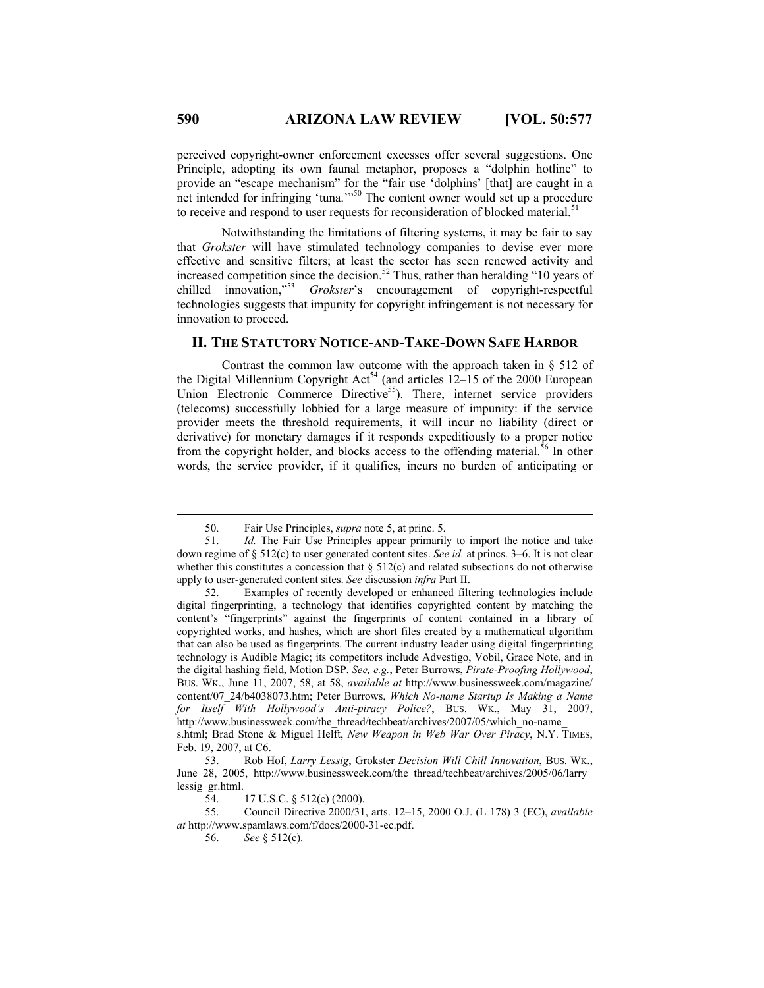perceived copyright-owner enforcement excesses offer several suggestions. One Principle, adopting its own faunal metaphor, proposes a "dolphin hotline" to provide an "escape mechanism" for the "fair use 'dolphins' [that] are caught in a net intended for infringing 'tuna.'"<sup>50</sup> The content owner would set up a procedure to receive and respond to user requests for reconsideration of blocked material.<sup>51</sup>

Notwithstanding the limitations of filtering systems, it may be fair to say that *Grokster* will have stimulated technology companies to devise ever more effective and sensitive filters; at least the sector has seen renewed activity and increased competition since the decision.<sup>52</sup> Thus, rather than heralding "10 years of chilled innovation,"53 *Grokster*'s encouragement of copyright-respectful technologies suggests that impunity for copyright infringement is not necessary for innovation to proceed.

# **II. THE STATUTORY NOTICE-AND-TAKE-DOWN SAFE HARBOR**

Contrast the common law outcome with the approach taken in § 512 of the Digital Millennium Copyright  $Act<sup>54</sup>$  (and articles 12–15 of the 2000 European Union Electronic Commerce Directive<sup>55</sup>). There, internet service providers (telecoms) successfully lobbied for a large measure of impunity: if the service provider meets the threshold requirements, it will incur no liability (direct or derivative) for monetary damages if it responds expeditiously to a proper notice from the copyright holder, and blocks access to the offending material.<sup>56</sup> In other words, the service provider, if it qualifies, incurs no burden of anticipating or

Feb. 19, 2007, at C6.

 55. Council Directive 2000/31, arts. 12–15, 2000 O.J. (L 178) 3 (EC), *available at* http://www.spamlaws.com/f/docs/2000-31-ec.pdf.

 <sup>50.</sup> Fair Use Principles, *supra* note 5, at princ. 5.

 <sup>51.</sup> *Id.* The Fair Use Principles appear primarily to import the notice and take down regime of § 512(c) to user generated content sites. *See id.* at princs. 3–6. It is not clear whether this constitutes a concession that  $\S 512(c)$  and related subsections do not otherwise apply to user-generated content sites. *See* discussion *infra* Part II.

 <sup>52.</sup> Examples of recently developed or enhanced filtering technologies include digital fingerprinting, a technology that identifies copyrighted content by matching the content's "fingerprints" against the fingerprints of content contained in a library of copyrighted works, and hashes, which are short files created by a mathematical algorithm that can also be used as fingerprints. The current industry leader using digital fingerprinting technology is Audible Magic; its competitors include Advestigo, Vobil, Grace Note, and in the digital hashing field, Motion DSP. *See, e.g.*, Peter Burrows, *Pirate-Proofing Hollywood*, BUS. WK., June 11, 2007, 58, at 58, *available at* http://www.businessweek.com/magazine/ content/07\_24/b4038073.htm; Peter Burrows, *Which No-name Startup Is Making a Name for Itself With Hollywood's Anti-piracy Police?*, BUS. WK., May 31, 2007, http://www.businessweek.com/the\_thread/techbeat/archives/2007/05/which\_no-name s.html; Brad Stone & Miguel Helft, *New Weapon in Web War Over Piracy*, N.Y. TIMES,

 <sup>53.</sup> Rob Hof, *Larry Lessig*, Grokster *Decision Will Chill Innovation*, BUS. WK., June 28, 2005, http://www.businessweek.com/the\_thread/techbeat/archives/2005/06/larry\_ lessig\_gr.html.

 <sup>54. 17</sup> U.S.C. § 512(c) (2000).

 <sup>56.</sup> *See* § 512(c).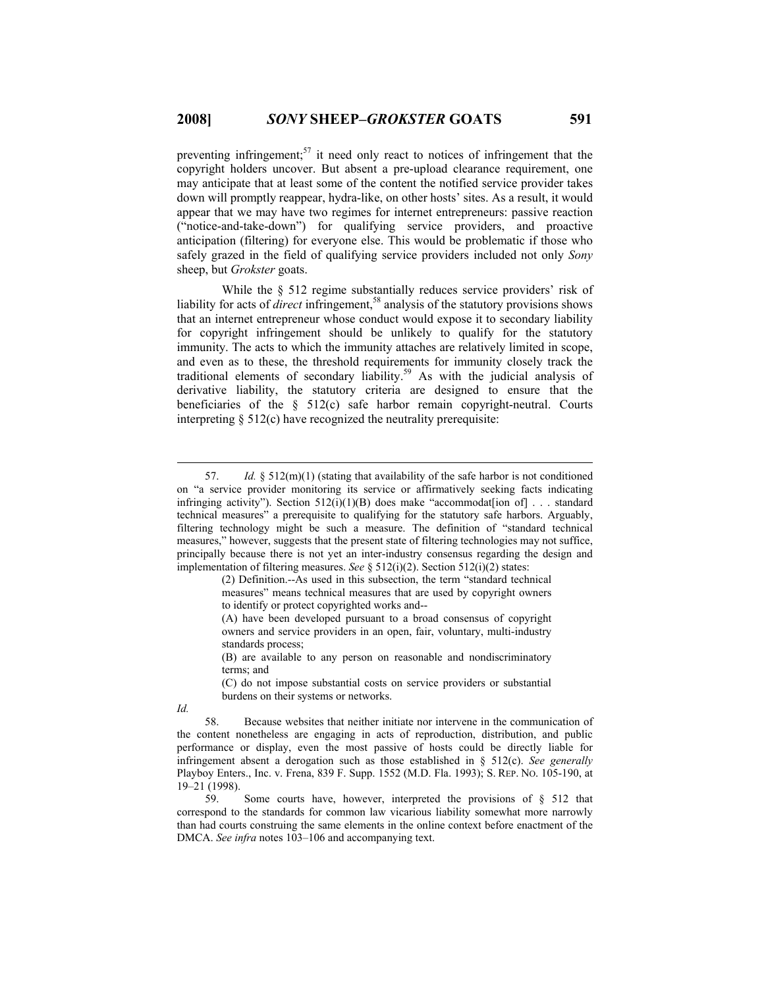preventing infringement;<sup>57</sup> it need only react to notices of infringement that the copyright holders uncover. But absent a pre-upload clearance requirement, one may anticipate that at least some of the content the notified service provider takes down will promptly reappear, hydra-like, on other hosts' sites. As a result, it would appear that we may have two regimes for internet entrepreneurs: passive reaction ("notice-and-take-down") for qualifying service providers, and proactive anticipation (filtering) for everyone else. This would be problematic if those who safely grazed in the field of qualifying service providers included not only *Sony* sheep, but *Grokster* goats.

While the § 512 regime substantially reduces service providers' risk of liability for acts of *direct* infringement,58 analysis of the statutory provisions shows that an internet entrepreneur whose conduct would expose it to secondary liability for copyright infringement should be unlikely to qualify for the statutory immunity. The acts to which the immunity attaches are relatively limited in scope, and even as to these, the threshold requirements for immunity closely track the traditional elements of secondary liability.<sup>59</sup> As with the judicial analysis of derivative liability, the statutory criteria are designed to ensure that the beneficiaries of the  $\S$  512(c) safe harbor remain copyright-neutral. Courts interpreting § 512(c) have recognized the neutrality prerequisite:

(B) are available to any person on reasonable and nondiscriminatory terms; and

(C) do not impose substantial costs on service providers or substantial burdens on their systems or networks.

*Id.* 

 <sup>57.</sup> *Id.* § 512(m)(1) (stating that availability of the safe harbor is not conditioned on "a service provider monitoring its service or affirmatively seeking facts indicating infringing activity"). Section  $512(i)(1)(B)$  does make "accommodation of  $\vert$ ... standard technical measures" a prerequisite to qualifying for the statutory safe harbors. Arguably, filtering technology might be such a measure. The definition of "standard technical measures," however, suggests that the present state of filtering technologies may not suffice, principally because there is not yet an inter-industry consensus regarding the design and implementation of filtering measures. *See* § 512(i)(2). Section 512(i)(2) states:

<sup>(2)</sup> Definition.--As used in this subsection, the term "standard technical measures" means technical measures that are used by copyright owners to identify or protect copyrighted works and--

<sup>(</sup>A) have been developed pursuant to a broad consensus of copyright owners and service providers in an open, fair, voluntary, multi-industry standards process;

 <sup>58.</sup> Because websites that neither initiate nor intervene in the communication of the content nonetheless are engaging in acts of reproduction, distribution, and public performance or display, even the most passive of hosts could be directly liable for infringement absent a derogation such as those established in § 512(c). *See generally*  Playboy Enters., Inc. v. Frena, 839 F. Supp. 1552 (M.D. Fla. 1993); S. REP. NO. 105-190, at 19–21 (1998).

 <sup>59.</sup> Some courts have, however, interpreted the provisions of § 512 that correspond to the standards for common law vicarious liability somewhat more narrowly than had courts construing the same elements in the online context before enactment of the DMCA. *See infra* notes 103–106 and accompanying text.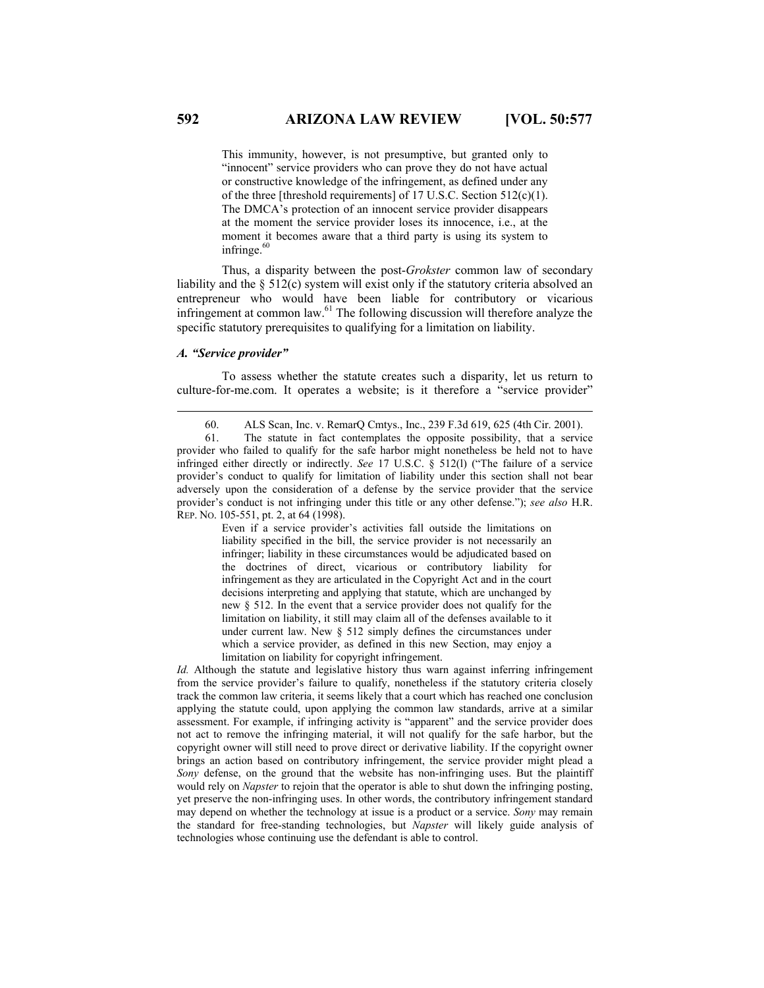This immunity, however, is not presumptive, but granted only to "innocent" service providers who can prove they do not have actual or constructive knowledge of the infringement, as defined under any of the three [threshold requirements] of 17 U.S.C. Section 512(c)(1). The DMCA's protection of an innocent service provider disappears at the moment the service provider loses its innocence, i.e., at the moment it becomes aware that a third party is using its system to infringe.<sup>60</sup>

Thus, a disparity between the post-*Grokster* common law of secondary liability and the § 512(c) system will exist only if the statutory criteria absolved an entrepreneur who would have been liable for contributory or vicarious infringement at common law. $<sup>61</sup>$  The following discussion will therefore analyze the</sup> specific statutory prerequisites to qualifying for a limitation on liability.

## *A. "Service provider"*

To assess whether the statute creates such a disparity, let us return to culture-for-me.com. It operates a website; is it therefore a "service provider"

Even if a service provider's activities fall outside the limitations on liability specified in the bill, the service provider is not necessarily an infringer; liability in these circumstances would be adjudicated based on the doctrines of direct, vicarious or contributory liability for infringement as they are articulated in the Copyright Act and in the court decisions interpreting and applying that statute, which are unchanged by new § 512. In the event that a service provider does not qualify for the limitation on liability, it still may claim all of the defenses available to it under current law. New § 512 simply defines the circumstances under which a service provider, as defined in this new Section, may enjoy a limitation on liability for copyright infringement.

*Id.* Although the statute and legislative history thus warn against inferring infringement from the service provider's failure to qualify, nonetheless if the statutory criteria closely track the common law criteria, it seems likely that a court which has reached one conclusion applying the statute could, upon applying the common law standards, arrive at a similar assessment. For example, if infringing activity is "apparent" and the service provider does not act to remove the infringing material, it will not qualify for the safe harbor, but the copyright owner will still need to prove direct or derivative liability. If the copyright owner brings an action based on contributory infringement, the service provider might plead a *Sony* defense, on the ground that the website has non-infringing uses. But the plaintiff would rely on *Napster* to rejoin that the operator is able to shut down the infringing posting, yet preserve the non-infringing uses. In other words, the contributory infringement standard may depend on whether the technology at issue is a product or a service. *Sony* may remain the standard for free-standing technologies, but *Napster* will likely guide analysis of technologies whose continuing use the defendant is able to control.

 <sup>60.</sup> ALS Scan, Inc. v. RemarQ Cmtys., Inc., 239 F.3d 619, 625 (4th Cir. 2001).

 <sup>61.</sup> The statute in fact contemplates the opposite possibility, that a service provider who failed to qualify for the safe harbor might nonetheless be held not to have infringed either directly or indirectly. *See* 17 U.S.C. § 512(l) ("The failure of a service provider's conduct to qualify for limitation of liability under this section shall not bear adversely upon the consideration of a defense by the service provider that the service provider's conduct is not infringing under this title or any other defense."); *see also* H.R. REP. NO. 105-551, pt. 2, at 64 (1998).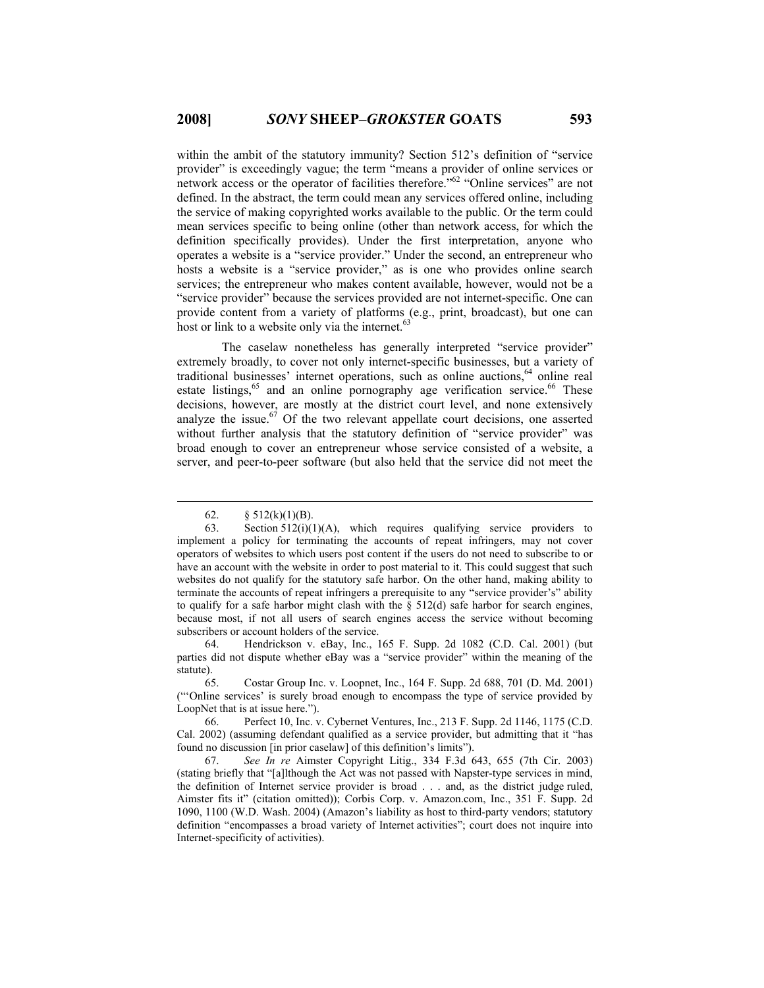within the ambit of the statutory immunity? Section 512's definition of "service" provider" is exceedingly vague; the term "means a provider of online services or network access or the operator of facilities therefore."62 "Online services" are not defined. In the abstract, the term could mean any services offered online, including the service of making copyrighted works available to the public. Or the term could mean services specific to being online (other than network access, for which the definition specifically provides). Under the first interpretation, anyone who operates a website is a "service provider." Under the second, an entrepreneur who hosts a website is a "service provider," as is one who provides online search services; the entrepreneur who makes content available, however, would not be a "service provider" because the services provided are not internet-specific. One can provide content from a variety of platforms (e.g., print, broadcast), but one can host or link to a website only via the internet.<sup>63</sup>

The caselaw nonetheless has generally interpreted "service provider" extremely broadly, to cover not only internet-specific businesses, but a variety of traditional businesses' internet operations, such as online auctions, $64$  online real estate listings, $65$  and an online pornography age verification service. $66$  These decisions, however, are mostly at the district court level, and none extensively analyze the issue.<sup>67</sup> Of the two relevant appellate court decisions, one asserted without further analysis that the statutory definition of "service provider" was broad enough to cover an entrepreneur whose service consisted of a website, a server, and peer-to-peer software (but also held that the service did not meet the

 64. Hendrickson v. eBay, Inc., 165 F. Supp. 2d 1082 (C.D. Cal. 2001) (but parties did not dispute whether eBay was a "service provider" within the meaning of the statute).

 65. Costar Group Inc. v. Loopnet, Inc., 164 F. Supp. 2d 688, 701 (D. Md. 2001) ("'Online services' is surely broad enough to encompass the type of service provided by LoopNet that is at issue here.").

 66. Perfect 10, Inc. v. Cybernet Ventures, Inc., 213 F. Supp. 2d 1146, 1175 (C.D. Cal. 2002) (assuming defendant qualified as a service provider, but admitting that it "has found no discussion [in prior caselaw] of this definition's limits").

 67. *See In re* Aimster Copyright Litig., 334 F.3d 643, 655 (7th Cir. 2003) (stating briefly that "[a]lthough the Act was not passed with Napster-type services in mind, the definition of Internet service provider is broad . . . and, as the district judge ruled, Aimster fits it" (citation omitted)); Corbis Corp. v. Amazon.com, Inc., 351 F. Supp. 2d 1090, 1100 (W.D. Wash. 2004) (Amazon's liability as host to third-party vendors; statutory definition "encompasses a broad variety of Internet activities"; court does not inquire into Internet-specificity of activities).

<sup>62.</sup>  $§ 512(k)(1)(B)$ .

 <sup>63.</sup> Section 512(i)(1)(A), which requires qualifying service providers to implement a policy for terminating the accounts of repeat infringers, may not cover operators of websites to which users post content if the users do not need to subscribe to or have an account with the website in order to post material to it. This could suggest that such websites do not qualify for the statutory safe harbor. On the other hand, making ability to terminate the accounts of repeat infringers a prerequisite to any "service provider's" ability to qualify for a safe harbor might clash with the  $\S$  512(d) safe harbor for search engines, because most, if not all users of search engines access the service without becoming subscribers or account holders of the service.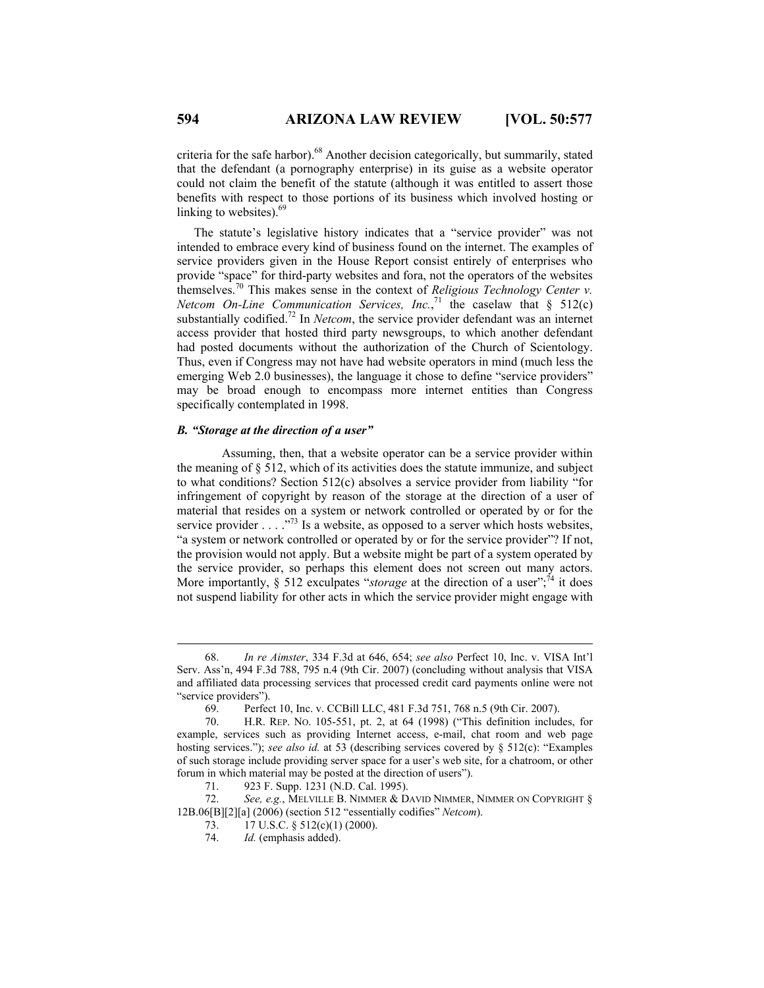criteria for the safe harbor).<sup>68</sup> Another decision categorically, but summarily, stated that the defendant (a pornography enterprise) in its guise as a website operator could not claim the benefit of the statute (although it was entitled to assert those benefits with respect to those portions of its business which involved hosting or linking to websites).<sup>69</sup>

The statute's legislative history indicates that a "service provider" was not intended to embrace every kind of business found on the internet. The examples of service providers given in the House Report consist entirely of enterprises who provide "space" for third-party websites and fora, not the operators of the websites themselves.70 This makes sense in the context of *Religious Technology Center v. Netcom On-Line Communication Services, Inc.*,<sup>71</sup> the caselaw that  $\S$  512(c) substantially codified.<sup>72</sup> In *Netcom*, the service provider defendant was an internet access provider that hosted third party newsgroups, to which another defendant had posted documents without the authorization of the Church of Scientology. Thus, even if Congress may not have had website operators in mind (much less the emerging Web 2.0 businesses), the language it chose to define "service providers" may be broad enough to encompass more internet entities than Congress specifically contemplated in 1998.

### *B. "Storage at the direction of a user"*

Assuming, then, that a website operator can be a service provider within the meaning of § 512, which of its activities does the statute immunize, and subject to what conditions? Section 512(c) absolves a service provider from liability "for infringement of copyright by reason of the storage at the direction of a user of material that resides on a system or network controlled or operated by or for the service provider . . . .  $\frac{1}{73}$  Is a website, as opposed to a server which hosts websites, "a system or network controlled or operated by or for the service provider"? If not, the provision would not apply. But a website might be part of a system operated by the service provider, so perhaps this element does not screen out many actors. More importantly,  $\S$  512 exculpates "*storage* at the direction of a user";<sup>74</sup> it does not suspend liability for other acts in which the service provider might engage with

 <sup>68.</sup> *In re Aimster*, 334 F.3d at 646, 654; *see also* Perfect 10, Inc. v. VISA Int'l Serv. Ass'n, 494 F.3d 788, 795 n.4 (9th Cir. 2007) (concluding without analysis that VISA and affiliated data processing services that processed credit card payments online were not "service providers").

 <sup>69.</sup> Perfect 10, Inc. v. CCBill LLC, 481 F.3d 751, 768 n.5 (9th Cir. 2007).

 <sup>70.</sup> H.R. REP. NO. 105-551, pt. 2, at 64 (1998) ("This definition includes, for example, services such as providing Internet access, e-mail, chat room and web page hosting services."); *see also id.* at 53 (describing services covered by § 512(c): "Examples of such storage include providing server space for a user's web site, for a chatroom, or other forum in which material may be posted at the direction of users").

 <sup>71. 923</sup> F. Supp. 1231 (N.D. Cal. 1995).

 <sup>72.</sup> *See, e.g.*, MELVILLE B. NIMMER & DAVID NIMMER, NIMMER ON COPYRIGHT § 12B.06[B][2][a] (2006) (section 512 "essentially codifies" *Netcom*).

<sup>73. 17</sup> U.S.C. § 512(c)(1) (2000).

 <sup>74.</sup> *Id.* (emphasis added).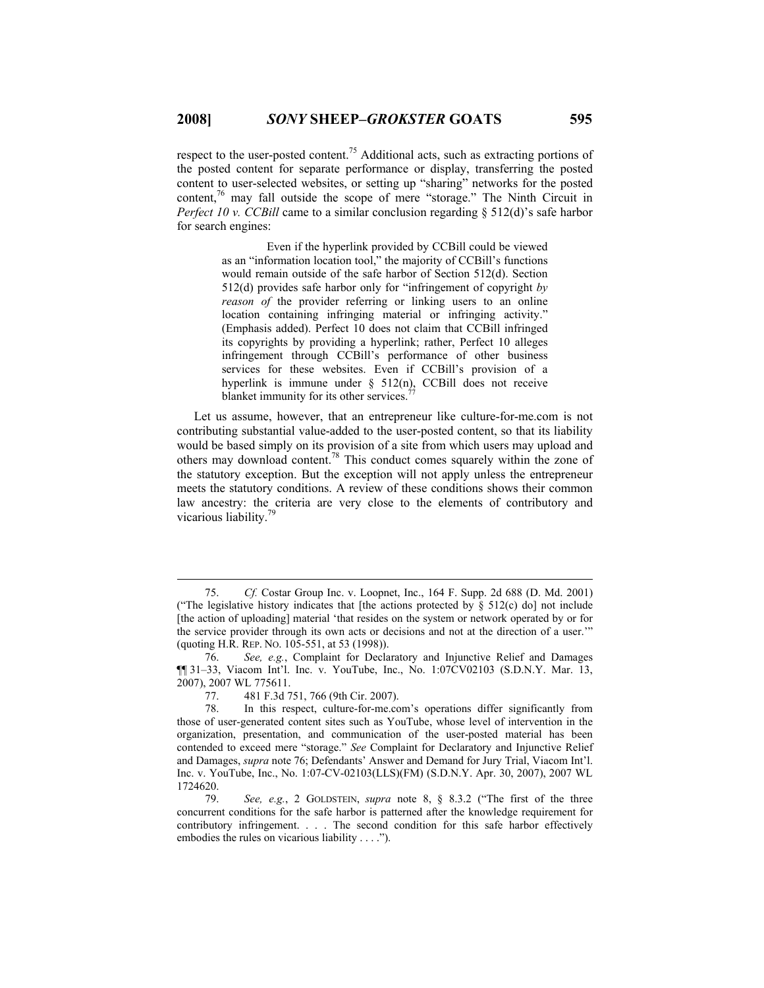respect to the user-posted content.75 Additional acts, such as extracting portions of the posted content for separate performance or display, transferring the posted content to user-selected websites, or setting up "sharing" networks for the posted content,<sup>76</sup> may fall outside the scope of mere "storage." The Ninth Circuit in *Perfect 10 v. CCBill* came to a similar conclusion regarding § 512(d)'s safe harbor for search engines:

> Even if the hyperlink provided by CCBill could be viewed as an "information location tool," the majority of CCBill's functions would remain outside of the safe harbor of Section 512(d). Section 512(d) provides safe harbor only for "infringement of copyright *by reason of* the provider referring or linking users to an online location containing infringing material or infringing activity." (Emphasis added). Perfect 10 does not claim that CCBill infringed its copyrights by providing a hyperlink; rather, Perfect 10 alleges infringement through CCBill's performance of other business services for these websites. Even if CCBill's provision of a hyperlink is immune under § 512(n), CCBill does not receive blanket immunity for its other services.<sup>7</sup>

Let us assume, however, that an entrepreneur like culture-for-me.com is not contributing substantial value-added to the user-posted content, so that its liability would be based simply on its provision of a site from which users may upload and others may download content.78 This conduct comes squarely within the zone of the statutory exception. But the exception will not apply unless the entrepreneur meets the statutory conditions. A review of these conditions shows their common law ancestry: the criteria are very close to the elements of contributory and vicarious liability.79

 <sup>75.</sup> *Cf.* Costar Group Inc. v. Loopnet, Inc., 164 F. Supp. 2d 688 (D. Md. 2001) ("The legislative history indicates that [the actions protected by  $\S$  512(c) do] not include [the action of uploading] material 'that resides on the system or network operated by or for the service provider through its own acts or decisions and not at the direction of a user.'" (quoting H.R. REP. NO. 105-551, at 53 (1998)).

 <sup>76.</sup> *See, e.g.*, Complaint for Declaratory and Injunctive Relief and Damages ¶¶ 31–33, Viacom Int'l. Inc. v. YouTube, Inc., No. 1:07CV02103 (S.D.N.Y. Mar. 13, 2007), 2007 WL 775611.

 <sup>77. 481</sup> F.3d 751, 766 (9th Cir. 2007).

 <sup>78.</sup> In this respect, culture-for-me.com's operations differ significantly from those of user-generated content sites such as YouTube, whose level of intervention in the organization, presentation, and communication of the user-posted material has been contended to exceed mere "storage." *See* Complaint for Declaratory and Injunctive Relief and Damages, *supra* note 76; Defendants' Answer and Demand for Jury Trial, Viacom Int'l. Inc. v. YouTube, Inc., No. 1:07-CV-02103(LLS)(FM) (S.D.N.Y. Apr. 30, 2007), 2007 WL 1724620.

 <sup>79.</sup> *See, e.g.*, 2 GOLDSTEIN, *supra* note 8, § 8.3.2 ("The first of the three concurrent conditions for the safe harbor is patterned after the knowledge requirement for contributory infringement. . . . The second condition for this safe harbor effectively embodies the rules on vicarious liability . . . .").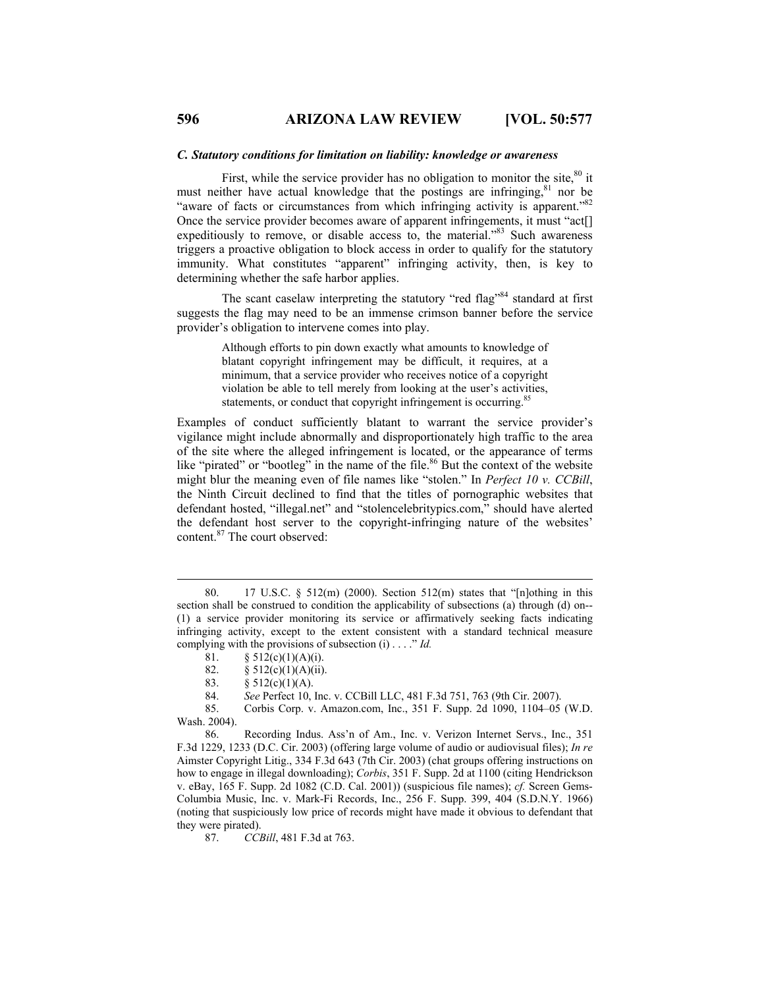#### *C. Statutory conditions for limitation on liability: knowledge or awareness*

First, while the service provider has no obligation to monitor the site,  $80$  it must neither have actual knowledge that the postings are infringing,<sup>81</sup> nor be "aware of facts or circumstances from which infringing activity is apparent."<sup>82</sup> Once the service provider becomes aware of apparent infringements, it must "act[] expeditiously to remove, or disable access to, the material."83 Such awareness triggers a proactive obligation to block access in order to qualify for the statutory immunity. What constitutes "apparent" infringing activity, then, is key to determining whether the safe harbor applies.

The scant caselaw interpreting the statutory "red flag"<sup>84</sup> standard at first suggests the flag may need to be an immense crimson banner before the service provider's obligation to intervene comes into play.

> Although efforts to pin down exactly what amounts to knowledge of blatant copyright infringement may be difficult, it requires, at a minimum, that a service provider who receives notice of a copyright violation be able to tell merely from looking at the user's activities, statements, or conduct that copyright infringement is occurring.<sup>85</sup>

Examples of conduct sufficiently blatant to warrant the service provider's vigilance might include abnormally and disproportionately high traffic to the area of the site where the alleged infringement is located, or the appearance of terms like "pirated" or "bootleg" in the name of the file.<sup>86</sup> But the context of the website might blur the meaning even of file names like "stolen." In *Perfect 10 v. CCBill*, the Ninth Circuit declined to find that the titles of pornographic websites that defendant hosted, "illegal.net" and "stolencelebritypics.com," should have alerted the defendant host server to the copyright-infringing nature of the websites' content.87 The court observed:

 86. Recording Indus. Ass'n of Am., Inc. v. Verizon Internet Servs., Inc., 351 F.3d 1229, 1233 (D.C. Cir. 2003) (offering large volume of audio or audiovisual files); *In re* Aimster Copyright Litig., 334 F.3d 643 (7th Cir. 2003) (chat groups offering instructions on how to engage in illegal downloading); *Corbis*, 351 F. Supp. 2d at 1100 (citing Hendrickson v. eBay, 165 F. Supp. 2d 1082 (C.D. Cal. 2001)) (suspicious file names); *cf.* Screen Gems-Columbia Music, Inc. v. Mark-Fi Records, Inc., 256 F. Supp. 399, 404 (S.D.N.Y. 1966) (noting that suspiciously low price of records might have made it obvious to defendant that they were pirated).

87. *CCBill*, 481 F.3d at 763.

 <sup>80. 17</sup> U.S.C. § 512(m) (2000). Section 512(m) states that "[n]othing in this section shall be construed to condition the applicability of subsections (a) through (d) on-- (1) a service provider monitoring its service or affirmatively seeking facts indicating infringing activity, except to the extent consistent with a standard technical measure complying with the provisions of subsection (i) . . . ." *Id.*

<sup>81.</sup>  $\S 512(c)(1)(A)(i)$ .

<sup>82.</sup>  $§ 512(c)(1)(A)(ii)$ .

<sup>83.</sup>  $§ 512(c)(1)(A).$ 

 <sup>84.</sup> *See* Perfect 10, Inc. v. CCBill LLC, 481 F.3d 751, 763 (9th Cir. 2007).

 <sup>85.</sup> Corbis Corp. v. Amazon.com, Inc., 351 F. Supp. 2d 1090, 1104–05 (W.D. Wash. 2004).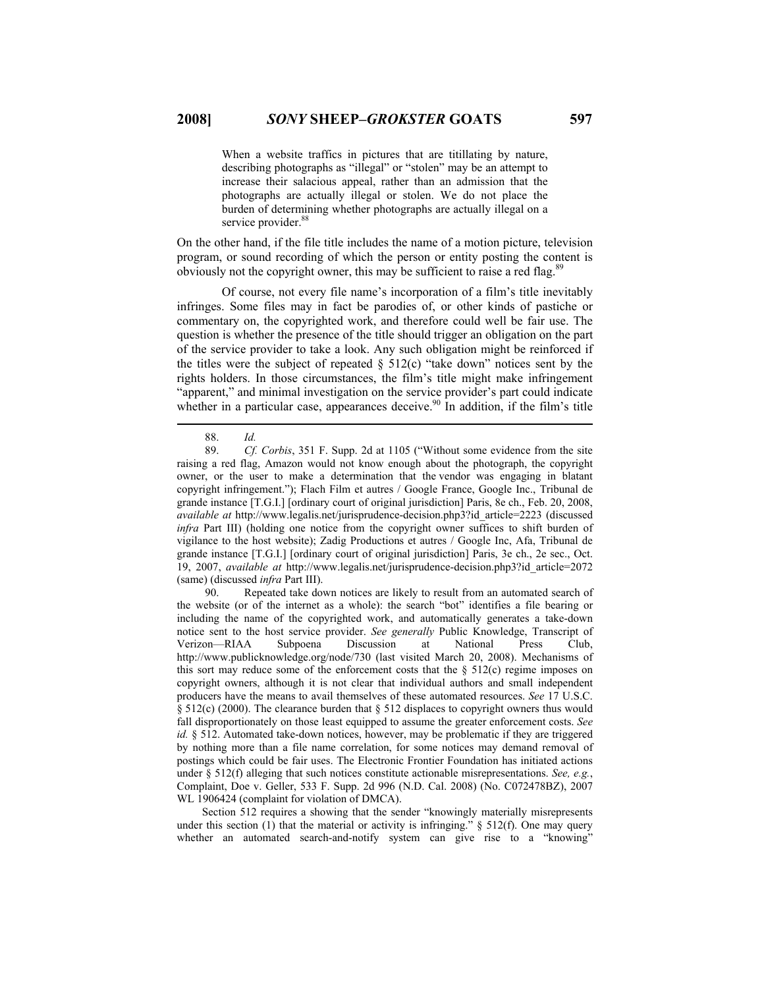When a website traffics in pictures that are titillating by nature, describing photographs as "illegal" or "stolen" may be an attempt to increase their salacious appeal, rather than an admission that the photographs are actually illegal or stolen. We do not place the burden of determining whether photographs are actually illegal on a service provider.<sup>88</sup>

On the other hand, if the file title includes the name of a motion picture, television program, or sound recording of which the person or entity posting the content is obviously not the copyright owner, this may be sufficient to raise a red flag.<sup>89</sup>

Of course, not every file name's incorporation of a film's title inevitably infringes. Some files may in fact be parodies of, or other kinds of pastiche or commentary on, the copyrighted work, and therefore could well be fair use. The question is whether the presence of the title should trigger an obligation on the part of the service provider to take a look. Any such obligation might be reinforced if the titles were the subject of repeated  $\S$  512(c) "take down" notices sent by the rights holders. In those circumstances, the film's title might make infringement "apparent," and minimal investigation on the service provider's part could indicate whether in a particular case, appearances deceive.<sup>90</sup> In addition, if the film's title

 90. Repeated take down notices are likely to result from an automated search of the website (or of the internet as a whole): the search "bot" identifies a file bearing or including the name of the copyrighted work, and automatically generates a take-down notice sent to the host service provider. *See generally* Public Knowledge, Transcript of Verizon—RIAA Subpoena Discussion at National Press Club, Verizon—RIAA Subpoena Discussion at National Press Club, http://www.publicknowledge.org/node/730 (last visited March 20, 2008). Mechanisms of this sort may reduce some of the enforcement costs that the  $\S$  512(c) regime imposes on copyright owners, although it is not clear that individual authors and small independent producers have the means to avail themselves of these automated resources. *See* 17 U.S.C. § 512(c) (2000). The clearance burden that § 512 displaces to copyright owners thus would fall disproportionately on those least equipped to assume the greater enforcement costs. *See id.* § 512. Automated take-down notices, however, may be problematic if they are triggered by nothing more than a file name correlation, for some notices may demand removal of postings which could be fair uses. The Electronic Frontier Foundation has initiated actions under § 512(f) alleging that such notices constitute actionable misrepresentations. *See, e.g.*, Complaint, Doe v. Geller, 533 F. Supp. 2d 996 (N.D. Cal. 2008) (No. C072478BZ), 2007 WL 1906424 (complaint for violation of DMCA).

 Section 512 requires a showing that the sender "knowingly materially misrepresents under this section (1) that the material or activity is infringing."  $\S$  512(f). One may query whether an automated search-and-notify system can give rise to a "knowing"

 <sup>88.</sup> *Id.*

 <sup>89.</sup> *Cf. Corbis*, 351 F. Supp. 2d at 1105 ("Without some evidence from the site raising a red flag, Amazon would not know enough about the photograph, the copyright owner, or the user to make a determination that the vendor was engaging in blatant copyright infringement."); Flach Film et autres / Google France, Google Inc., Tribunal de grande instance [T.G.I.] [ordinary court of original jurisdiction] Paris, 8e ch., Feb. 20, 2008, *available at* http://www.legalis.net/jurisprudence-decision.php3?id\_article=2223 (discussed *infra* Part III) (holding one notice from the copyright owner suffices to shift burden of vigilance to the host website); Zadig Productions et autres / Google Inc, Afa, Tribunal de grande instance [T.G.I.] [ordinary court of original jurisdiction] Paris, 3e ch., 2e sec., Oct. 19, 2007, *available at* http://www.legalis.net/jurisprudence-decision.php3?id\_article=2072 (same) (discussed *infra* Part III).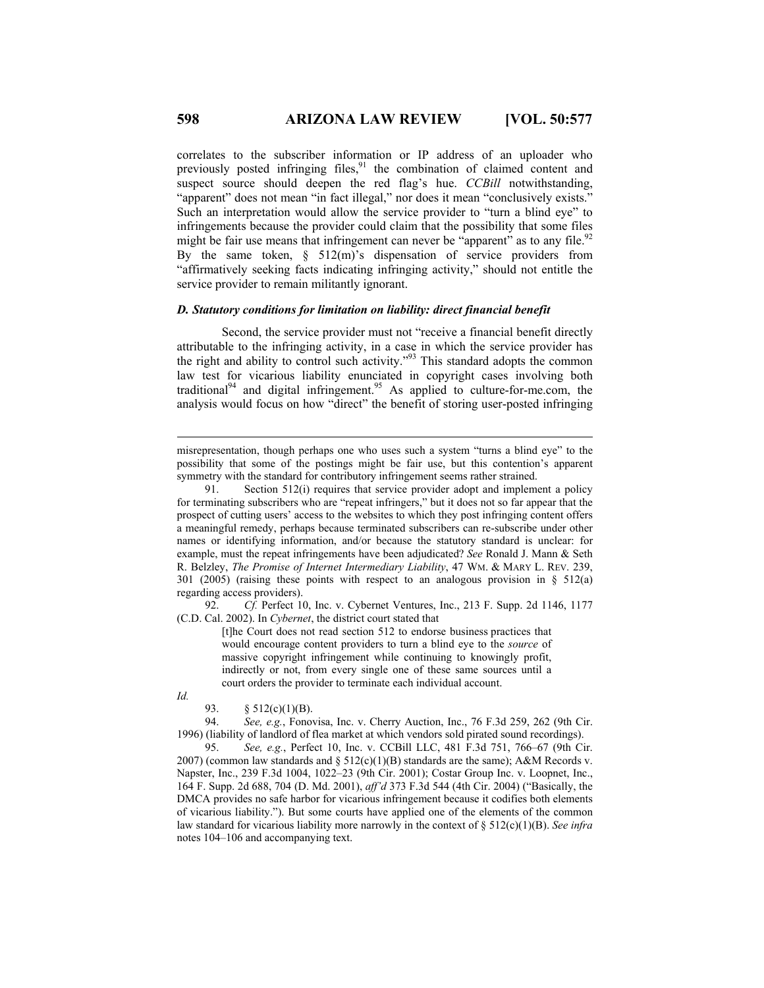correlates to the subscriber information or IP address of an uploader who previously posted infringing files, $91$  the combination of claimed content and suspect source should deepen the red flag's hue. *CCBill* notwithstanding, "apparent" does not mean "in fact illegal," nor does it mean "conclusively exists." Such an interpretation would allow the service provider to "turn a blind eye" to infringements because the provider could claim that the possibility that some files might be fair use means that infringement can never be "apparent" as to any file.<sup>92</sup> By the same token,  $\S$  512(m)'s dispensation of service providers from "affirmatively seeking facts indicating infringing activity," should not entitle the service provider to remain militantly ignorant.

## *D. Statutory conditions for limitation on liability: direct financial benefit*

Second, the service provider must not "receive a financial benefit directly attributable to the infringing activity, in a case in which the service provider has the right and ability to control such activity."93 This standard adopts the common law test for vicarious liability enunciated in copyright cases involving both traditional<sup>94</sup> and digital infringement.<sup>95</sup> As applied to culture-for-me.com, the analysis would focus on how "direct" the benefit of storing user-posted infringing

 92. *Cf.* Perfect 10, Inc. v. Cybernet Ventures, Inc., 213 F. Supp. 2d 1146, 1177 (C.D. Cal. 2002). In *Cybernet*, the district court stated that

> [t]he Court does not read section 512 to endorse business practices that would encourage content providers to turn a blind eye to the *source* of massive copyright infringement while continuing to knowingly profit, indirectly or not, from every single one of these same sources until a court orders the provider to terminate each individual account.

*Id.* 

 $\overline{a}$ 

 94. *See, e.g.*, Fonovisa, Inc. v. Cherry Auction, Inc., 76 F.3d 259, 262 (9th Cir. 1996) (liability of landlord of flea market at which vendors sold pirated sound recordings).

 95. *See, e.g.*, Perfect 10, Inc. v. CCBill LLC, 481 F.3d 751, 766–67 (9th Cir. 2007) (common law standards and  $\S 512(c)(1)(B)$  standards are the same); A&M Records v. Napster, Inc., 239 F.3d 1004, 1022–23 (9th Cir. 2001); Costar Group Inc. v. Loopnet, Inc., 164 F. Supp. 2d 688, 704 (D. Md. 2001), *aff'd* 373 F.3d 544 (4th Cir. 2004) ("Basically, the DMCA provides no safe harbor for vicarious infringement because it codifies both elements of vicarious liability."). But some courts have applied one of the elements of the common law standard for vicarious liability more narrowly in the context of § 512(c)(1)(B). *See infra* notes 104–106 and accompanying text.

misrepresentation, though perhaps one who uses such a system "turns a blind eye" to the possibility that some of the postings might be fair use, but this contention's apparent symmetry with the standard for contributory infringement seems rather strained.

 <sup>91.</sup> Section 512(i) requires that service provider adopt and implement a policy for terminating subscribers who are "repeat infringers," but it does not so far appear that the prospect of cutting users' access to the websites to which they post infringing content offers a meaningful remedy, perhaps because terminated subscribers can re-subscribe under other names or identifying information, and/or because the statutory standard is unclear: for example, must the repeat infringements have been adjudicated? *See* Ronald J. Mann & Seth R. Belzley, *The Promise of Internet Intermediary Liability*, 47 WM. & MARY L. REV. 239, 301 (2005) (raising these points with respect to an analogous provision in § 512(a) regarding access providers).

<sup>93. § 512(</sup>c)(1)(B).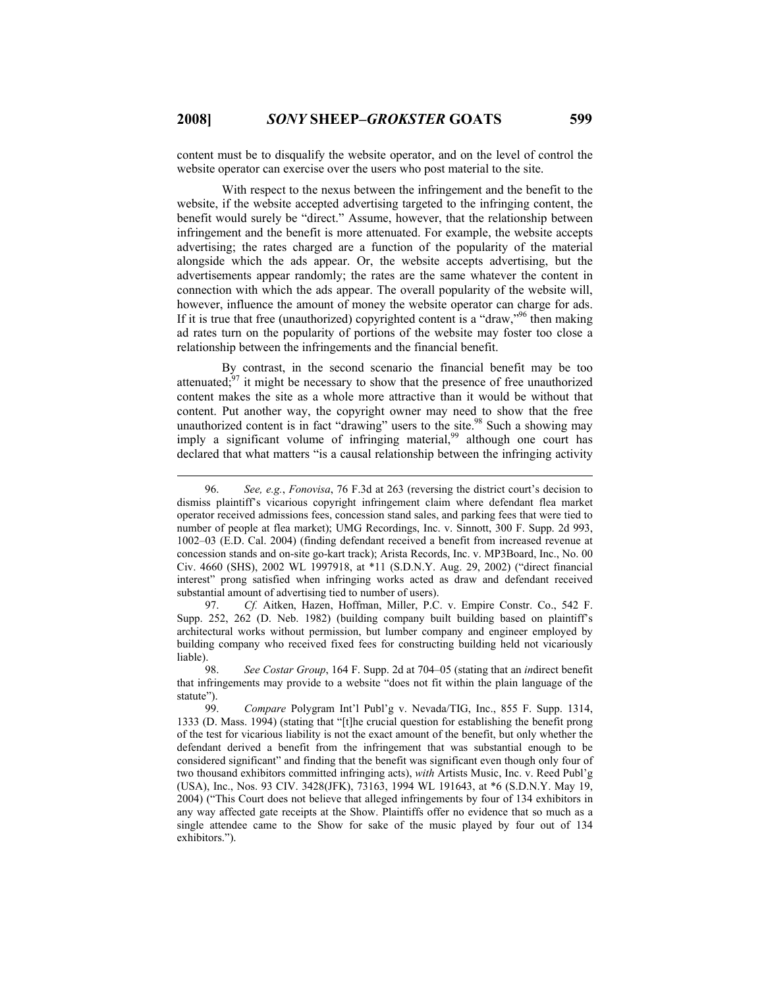content must be to disqualify the website operator, and on the level of control the website operator can exercise over the users who post material to the site.

With respect to the nexus between the infringement and the benefit to the website, if the website accepted advertising targeted to the infringing content, the benefit would surely be "direct." Assume, however, that the relationship between infringement and the benefit is more attenuated. For example, the website accepts advertising; the rates charged are a function of the popularity of the material alongside which the ads appear. Or, the website accepts advertising, but the advertisements appear randomly; the rates are the same whatever the content in connection with which the ads appear. The overall popularity of the website will, however, influence the amount of money the website operator can charge for ads. If it is true that free (unauthorized) copyrighted content is a "draw,"<sup>96</sup> then making ad rates turn on the popularity of portions of the website may foster too close a relationship between the infringements and the financial benefit.

By contrast, in the second scenario the financial benefit may be too attenuated; $97$  it might be necessary to show that the presence of free unauthorized content makes the site as a whole more attractive than it would be without that content. Put another way, the copyright owner may need to show that the free unauthorized content is in fact "drawing" users to the site.<sup>98</sup> Such a showing may imply a significant volume of infringing material,<sup>99</sup> although one court has declared that what matters "is a causal relationship between the infringing activity

 97. *Cf.* Aitken, Hazen, Hoffman, Miller, P.C. v. Empire Constr. Co., 542 F. Supp. 252, 262 (D. Neb. 1982) (building company built building based on plaintiff's architectural works without permission, but lumber company and engineer employed by building company who received fixed fees for constructing building held not vicariously liable).

 <sup>96.</sup> *See, e.g.*, *Fonovisa*, 76 F.3d at 263 (reversing the district court's decision to dismiss plaintiff's vicarious copyright infringement claim where defendant flea market operator received admissions fees, concession stand sales, and parking fees that were tied to number of people at flea market); UMG Recordings, Inc. v. Sinnott, 300 F. Supp. 2d 993, 1002–03 (E.D. Cal. 2004) (finding defendant received a benefit from increased revenue at concession stands and on-site go-kart track); Arista Records, Inc. v. MP3Board, Inc., No. 00 Civ. 4660 (SHS), 2002 WL 1997918, at \*11 (S.D.N.Y. Aug. 29, 2002) ("direct financial interest" prong satisfied when infringing works acted as draw and defendant received substantial amount of advertising tied to number of users).

 <sup>98.</sup> *See Costar Group*, 164 F. Supp. 2d at 704–05 (stating that an *in*direct benefit that infringements may provide to a website "does not fit within the plain language of the statute").

 <sup>99.</sup> *Compare* Polygram Int'l Publ'g v. Nevada/TIG, Inc., 855 F. Supp. 1314, 1333 (D. Mass. 1994) (stating that "[t]he crucial question for establishing the benefit prong of the test for vicarious liability is not the exact amount of the benefit, but only whether the defendant derived a benefit from the infringement that was substantial enough to be considered significant" and finding that the benefit was significant even though only four of two thousand exhibitors committed infringing acts), *with* Artists Music, Inc. v. Reed Publ'g (USA), Inc., Nos. 93 CIV. 3428(JFK), 73163, 1994 WL 191643, at \*6 (S.D.N.Y. May 19, 2004) ("This Court does not believe that alleged infringements by four of 134 exhibitors in any way affected gate receipts at the Show. Plaintiffs offer no evidence that so much as a single attendee came to the Show for sake of the music played by four out of 134 exhibitors.").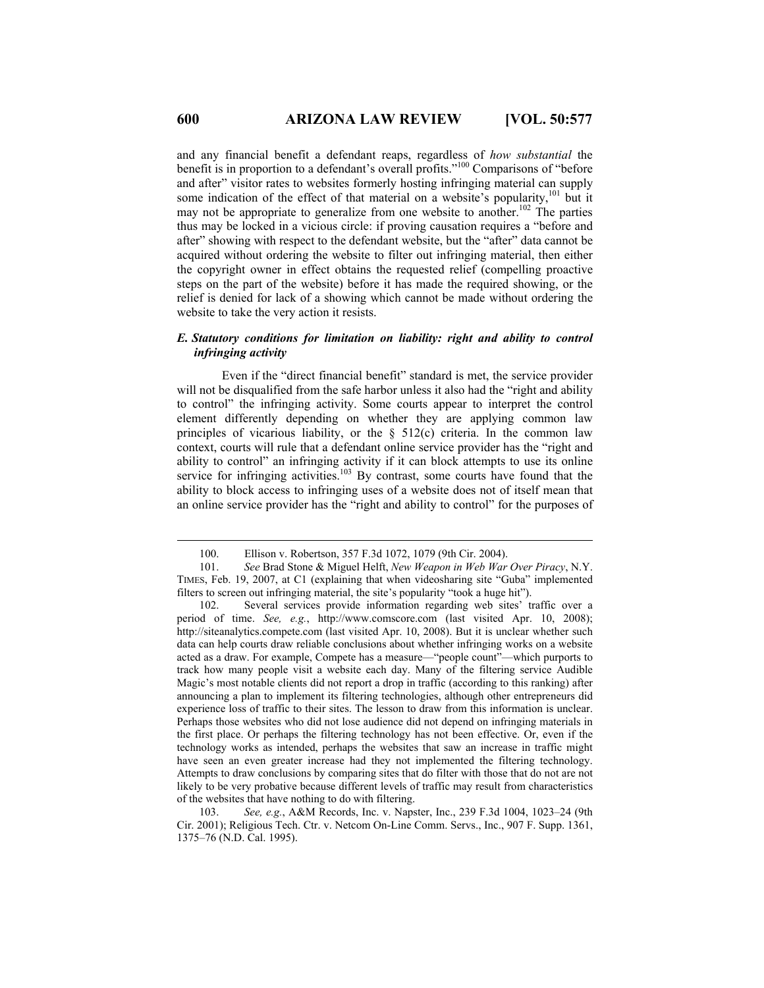and any financial benefit a defendant reaps, regardless of *how substantial* the benefit is in proportion to a defendant's overall profits."100 Comparisons of "before and after" visitor rates to websites formerly hosting infringing material can supply some indication of the effect of that material on a website's popularity,<sup>101</sup> but it may not be appropriate to generalize from one website to another.<sup>102</sup> The parties thus may be locked in a vicious circle: if proving causation requires a "before and after" showing with respect to the defendant website, but the "after" data cannot be acquired without ordering the website to filter out infringing material, then either the copyright owner in effect obtains the requested relief (compelling proactive steps on the part of the website) before it has made the required showing, or the relief is denied for lack of a showing which cannot be made without ordering the website to take the very action it resists.

## *E. Statutory conditions for limitation on liability: right and ability to control infringing activity*

Even if the "direct financial benefit" standard is met, the service provider will not be disqualified from the safe harbor unless it also had the "right and ability to control" the infringing activity. Some courts appear to interpret the control element differently depending on whether they are applying common law principles of vicarious liability, or the  $\S$  512(c) criteria. In the common law context, courts will rule that a defendant online service provider has the "right and ability to control" an infringing activity if it can block attempts to use its online service for infringing activities.<sup>103</sup> By contrast, some courts have found that the ability to block access to infringing uses of a website does not of itself mean that an online service provider has the "right and ability to control" for the purposes of

 <sup>100.</sup> Ellison v. Robertson, 357 F.3d 1072, 1079 (9th Cir. 2004).

<sup>101.</sup> *See* Brad Stone & Miguel Helft, *New Weapon in Web War Over Piracy*, N.Y. TIMES, Feb. 19, 2007, at C1 (explaining that when videosharing site "Guba" implemented filters to screen out infringing material, the site's popularity "took a huge hit").

<sup>102.</sup> Several services provide information regarding web sites' traffic over a period of time. *See, e.g.*, http://www.comscore.com (last visited Apr. 10, 2008); http://siteanalytics.compete.com (last visited Apr. 10, 2008). But it is unclear whether such data can help courts draw reliable conclusions about whether infringing works on a website acted as a draw. For example, Compete has a measure—"people count"—which purports to track how many people visit a website each day. Many of the filtering service Audible Magic's most notable clients did not report a drop in traffic (according to this ranking) after announcing a plan to implement its filtering technologies, although other entrepreneurs did experience loss of traffic to their sites. The lesson to draw from this information is unclear. Perhaps those websites who did not lose audience did not depend on infringing materials in the first place. Or perhaps the filtering technology has not been effective. Or, even if the technology works as intended, perhaps the websites that saw an increase in traffic might have seen an even greater increase had they not implemented the filtering technology. Attempts to draw conclusions by comparing sites that do filter with those that do not are not likely to be very probative because different levels of traffic may result from characteristics of the websites that have nothing to do with filtering.

<sup>103.</sup> *See, e.g.*, A&M Records, Inc. v. Napster, Inc., 239 F.3d 1004, 1023–24 (9th Cir. 2001); Religious Tech. Ctr. v. Netcom On-Line Comm. Servs., Inc., 907 F. Supp. 1361, 1375–76 (N.D. Cal. 1995).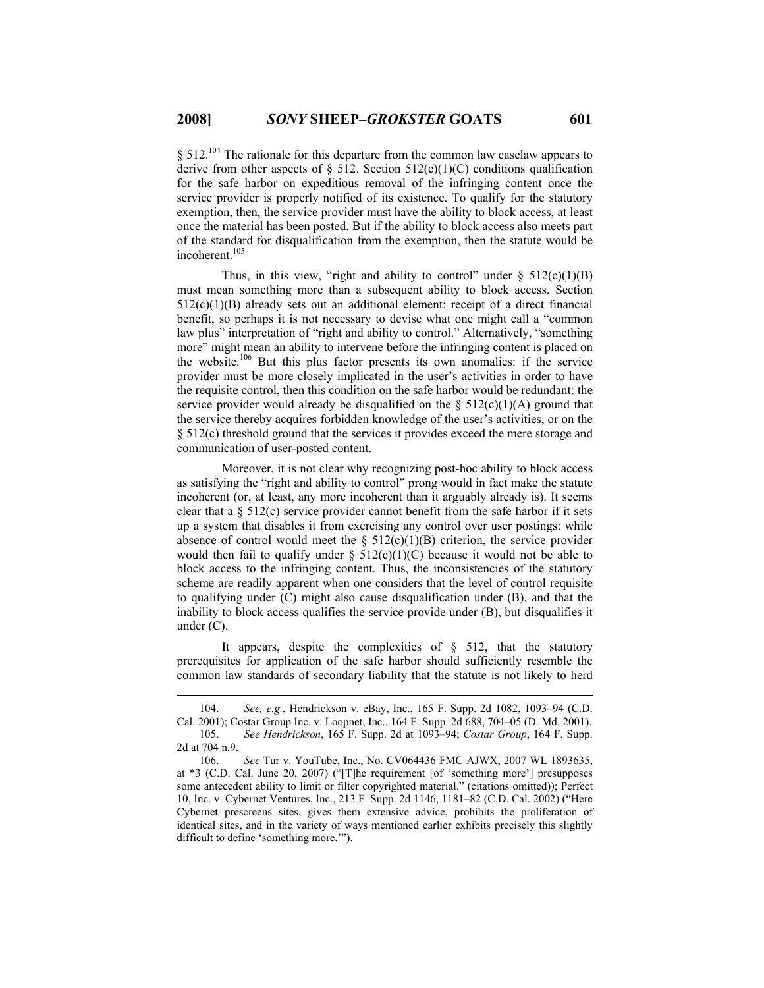$§$  512.<sup>104</sup> The rationale for this departure from the common law caselaw appears to derive from other aspects of  $\S$  512. Section 512(c)(1)(C) conditions qualification for the safe harbor on expeditious removal of the infringing content once the service provider is properly notified of its existence. To qualify for the statutory exemption, then, the service provider must have the ability to block access, at least once the material has been posted. But if the ability to block access also meets part of the standard for disqualification from the exemption, then the statute would be incoherent.<sup>105</sup>

Thus, in this view, "right and ability to control" under  $\S$  512(c)(1)(B) must mean something more than a subsequent ability to block access. Section  $512(c)(1)(B)$  already sets out an additional element: receipt of a direct financial benefit, so perhaps it is not necessary to devise what one might call a "common law plus" interpretation of "right and ability to control." Alternatively, "something more" might mean an ability to intervene before the infringing content is placed on the website.106 But this plus factor presents its own anomalies: if the service provider must be more closely implicated in the user's activities in order to have the requisite control, then this condition on the safe harbor would be redundant: the service provider would already be disqualified on the  $\S$  512(c)(1)(A) ground that the service thereby acquires forbidden knowledge of the user's activities, or on the § 512(c) threshold ground that the services it provides exceed the mere storage and communication of user-posted content.

Moreover, it is not clear why recognizing post-hoc ability to block access as satisfying the "right and ability to control" prong would in fact make the statute incoherent (or, at least, any more incoherent than it arguably already is). It seems clear that a  $\S 512(c)$  service provider cannot benefit from the safe harbor if it sets up a system that disables it from exercising any control over user postings: while absence of control would meet the  $\S$  512(c)(1)(B) criterion, the service provider would then fail to qualify under  $\S$  512(c)(1)(C) because it would not be able to block access to the infringing content. Thus, the inconsistencies of the statutory scheme are readily apparent when one considers that the level of control requisite to qualifying under (C) might also cause disqualification under (B), and that the inability to block access qualifies the service provide under (B), but disqualifies it under (C).

It appears, despite the complexities of § 512, that the statutory prerequisites for application of the safe harbor should sufficiently resemble the common law standards of secondary liability that the statute is not likely to herd

 <sup>104.</sup> *See, e.g.*, Hendrickson v. eBay, Inc., 165 F. Supp. 2d 1082, 1093–94 (C.D. Cal. 2001); Costar Group Inc. v. Loopnet, Inc., 164 F. Supp. 2d 688, 704–05 (D. Md. 2001). 105. *See Hendrickson*, 165 F. Supp. 2d at 1093–94; *Costar Group*, 164 F. Supp.

<sup>2</sup>d at 704 n.9.

<sup>106.</sup> *See* Tur v. YouTube, Inc., No. CV064436 FMC AJWX, 2007 WL 1893635, at \*3 (C.D. Cal. June 20, 2007) ("[T]he requirement [of 'something more'] presupposes some antecedent ability to limit or filter copyrighted material." (citations omitted)); Perfect 10, Inc. v. Cybernet Ventures, Inc., 213 F. Supp. 2d 1146, 1181–82 (C.D. Cal. 2002) ("Here Cybernet prescreens sites, gives them extensive advice, prohibits the proliferation of identical sites, and in the variety of ways mentioned earlier exhibits precisely this slightly difficult to define 'something more.'").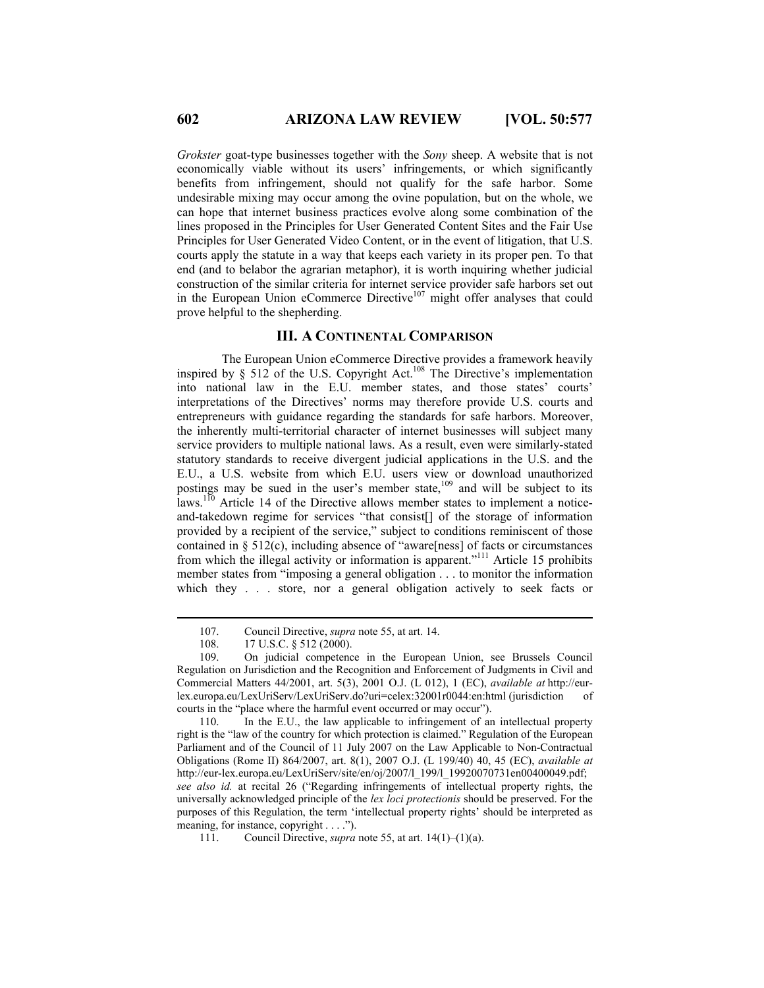*Grokster* goat-type businesses together with the *Sony* sheep. A website that is not economically viable without its users' infringements, or which significantly benefits from infringement, should not qualify for the safe harbor. Some undesirable mixing may occur among the ovine population, but on the whole, we can hope that internet business practices evolve along some combination of the lines proposed in the Principles for User Generated Content Sites and the Fair Use Principles for User Generated Video Content, or in the event of litigation, that U.S. courts apply the statute in a way that keeps each variety in its proper pen. To that end (and to belabor the agrarian metaphor), it is worth inquiring whether judicial construction of the similar criteria for internet service provider safe harbors set out in the European Union eCommerce Directive $107$  might offer analyses that could prove helpful to the shepherding.

# **III. A CONTINENTAL COMPARISON**

The European Union eCommerce Directive provides a framework heavily inspired by § 512 of the U.S. Copyright Act.<sup>108</sup> The Directive's implementation into national law in the E.U. member states, and those states' courts' interpretations of the Directives' norms may therefore provide U.S. courts and entrepreneurs with guidance regarding the standards for safe harbors. Moreover, the inherently multi-territorial character of internet businesses will subject many service providers to multiple national laws. As a result, even were similarly-stated statutory standards to receive divergent judicial applications in the U.S. and the E.U., a U.S. website from which E.U. users view or download unauthorized postings may be sued in the user's member state,<sup>109</sup> and will be subject to its laws.<sup>110</sup> Article 14 of the Directive allows member states to implement a noticeand-takedown regime for services "that consist[] of the storage of information provided by a recipient of the service," subject to conditions reminiscent of those contained in § 512(c), including absence of "aware[ness] of facts or circumstances from which the illegal activity or information is apparent."<sup>111</sup> Article 15 prohibits member states from "imposing a general obligation . . . to monitor the information which they . . . store, nor a general obligation actively to seek facts or

 <sup>107.</sup> Council Directive, *supra* note 55, at art. 14.

<sup>17</sup> U.S.C. § 512 (2000).

<sup>109.</sup> On judicial competence in the European Union, see Brussels Council Regulation on Jurisdiction and the Recognition and Enforcement of Judgments in Civil and Commercial Matters 44/2001, art. 5(3), 2001 O.J. (L 012), 1 (EC), *available at* http://eurlex.europa.eu/LexUriServ/LexUriServ.do?uri=celex:32001r0044:en:html (jurisdiction of courts in the "place where the harmful event occurred or may occur").

<sup>110.</sup> In the E.U., the law applicable to infringement of an intellectual property right is the "law of the country for which protection is claimed." Regulation of the European Parliament and of the Council of 11 July 2007 on the Law Applicable to Non-Contractual Obligations (Rome II) 864/2007, art. 8(1), 2007 O.J. (L 199/40) 40, 45 (EC), *available at* http://eur-lex.europa.eu/LexUriServ/site/en/oj/2007/l\_199/l\_19920070731en00400049.pdf; *see also id.* at recital 26 ("Regarding infringements of intellectual property rights, the universally acknowledged principle of the *lex loci protectionis* should be preserved. For the purposes of this Regulation, the term 'intellectual property rights' should be interpreted as meaning, for instance, copyright . . . .").

<sup>111.</sup> Council Directive, *supra* note 55, at art. 14(1)–(1)(a).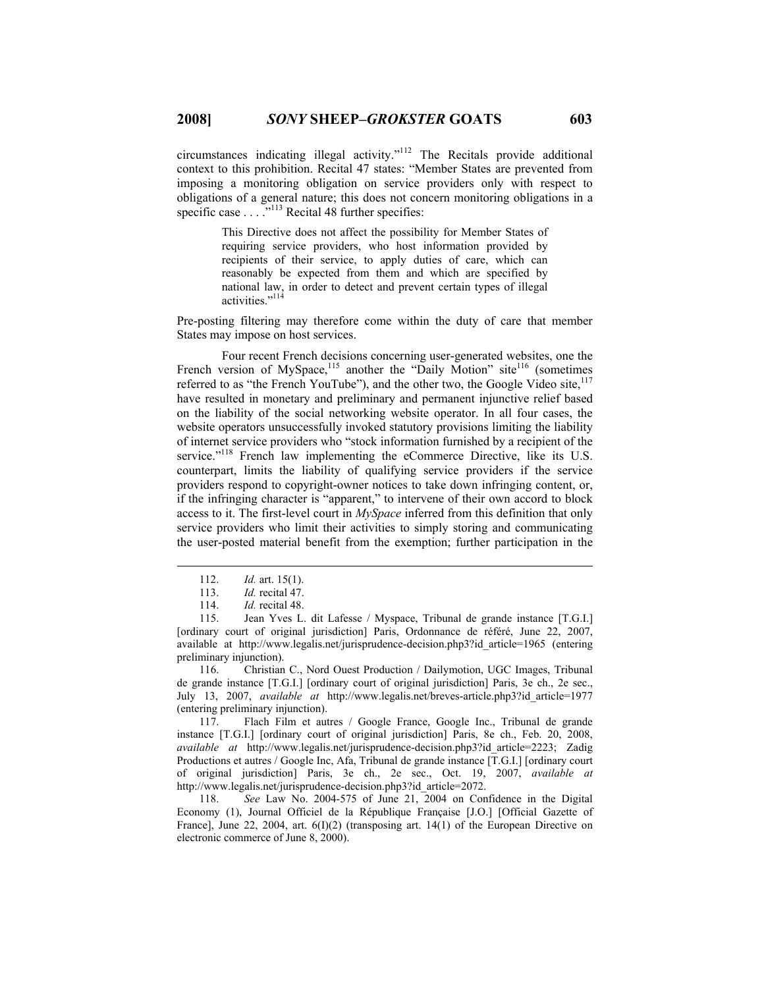circumstances indicating illegal activity."112 The Recitals provide additional context to this prohibition. Recital 47 states: "Member States are prevented from imposing a monitoring obligation on service providers only with respect to obligations of a general nature; this does not concern monitoring obligations in a specific case  $\ldots$ ...<sup>113</sup> Recital 48 further specifies:

> This Directive does not affect the possibility for Member States of requiring service providers, who host information provided by recipients of their service, to apply duties of care, which can reasonably be expected from them and which are specified by national law, in order to detect and prevent certain types of illegal activities."<sup>11</sup>

Pre-posting filtering may therefore come within the duty of care that member States may impose on host services.

Four recent French decisions concerning user-generated websites, one the French version of MySpace,<sup>115</sup> another the "Daily Motion" site<sup>116</sup> (sometimes referred to as "the French YouTube"), and the other two, the Google Video site,<sup>117</sup> have resulted in monetary and preliminary and permanent injunctive relief based on the liability of the social networking website operator. In all four cases, the website operators unsuccessfully invoked statutory provisions limiting the liability of internet service providers who "stock information furnished by a recipient of the service."<sup>118</sup> French law implementing the eCommerce Directive, like its U.S. counterpart, limits the liability of qualifying service providers if the service providers respond to copyright-owner notices to take down infringing content, or, if the infringing character is "apparent," to intervene of their own accord to block access to it. The first-level court in *MySpace* inferred from this definition that only service providers who limit their activities to simply storing and communicating the user-posted material benefit from the exemption; further participation in the

116. Christian C., Nord Ouest Production / Dailymotion, UGC Images, Tribunal de grande instance [T.G.I.] [ordinary court of original jurisdiction] Paris, 3e ch., 2e sec., July 13, 2007, *available at* http://www.legalis.net/breves-article.php3?id\_article=1977 (entering preliminary injunction).

117. Flach Film et autres / Google France, Google Inc., Tribunal de grande instance [T.G.I.] [ordinary court of original jurisdiction] Paris, 8e ch., Feb. 20, 2008, *available at* http://www.legalis.net/jurisprudence-decision.php3?id\_article=2223; Zadig Productions et autres / Google Inc, Afa, Tribunal de grande instance [T.G.I.] [ordinary court of original jurisdiction] Paris, 3e ch., 2e sec., Oct. 19, 2007, *available at* http://www.legalis.net/jurisprudence-decision.php3?id\_article=2072.

118. *See* Law No. 2004-575 of June 21, 2004 on Confidence in the Digital Economy (1), Journal Officiel de la République Française [J.O.] [Official Gazette of France], June 22, 2004, art.  $6(I)(2)$  (transposing art. 14(1) of the European Directive on electronic commerce of June 8, 2000).

 <sup>112.</sup> *Id.* art. 15(1).

<sup>113.</sup> *Id.* recital 47.

<sup>114.</sup> *Id.* recital 48.

<sup>115.</sup> Jean Yves L. dit Lafesse / Myspace, Tribunal de grande instance [T.G.I.] [ordinary court of original jurisdiction] Paris, Ordonnance de référé, June 22, 2007, available at http://www.legalis.net/jurisprudence-decision.php3?id\_article=1965 (entering preliminary injunction).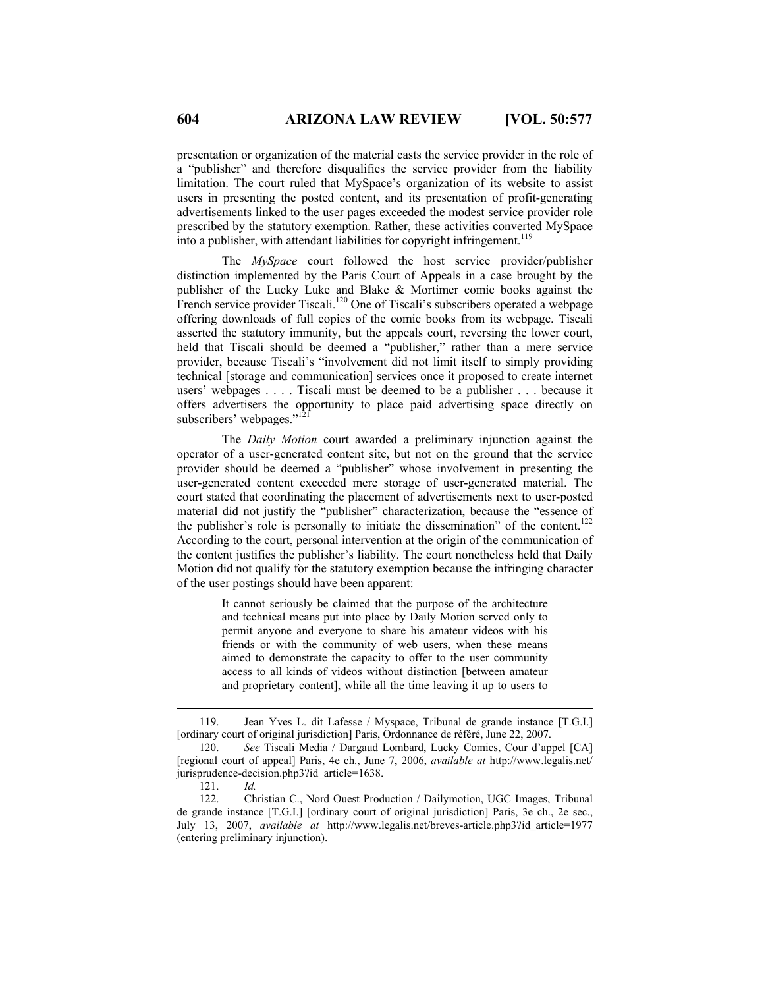presentation or organization of the material casts the service provider in the role of a "publisher" and therefore disqualifies the service provider from the liability limitation. The court ruled that MySpace's organization of its website to assist users in presenting the posted content, and its presentation of profit-generating advertisements linked to the user pages exceeded the modest service provider role prescribed by the statutory exemption. Rather, these activities converted MySpace into a publisher, with attendant liabilities for copyright infringement.<sup>119</sup>

The *MySpace* court followed the host service provider/publisher distinction implemented by the Paris Court of Appeals in a case brought by the publisher of the Lucky Luke and Blake & Mortimer comic books against the French service provider Tiscali.<sup>120</sup> One of Tiscali's subscribers operated a webpage offering downloads of full copies of the comic books from its webpage. Tiscali asserted the statutory immunity, but the appeals court, reversing the lower court, held that Tiscali should be deemed a "publisher," rather than a mere service provider, because Tiscali's "involvement did not limit itself to simply providing technical [storage and communication] services once it proposed to create internet users' webpages . . . . Tiscali must be deemed to be a publisher . . . because it offers advertisers the opportunity to place paid advertising space directly on subscribers' webpages."<sup>12</sup>

The *Daily Motion* court awarded a preliminary injunction against the operator of a user-generated content site, but not on the ground that the service provider should be deemed a "publisher" whose involvement in presenting the user-generated content exceeded mere storage of user-generated material. The court stated that coordinating the placement of advertisements next to user-posted material did not justify the "publisher" characterization, because the "essence of the publisher's role is personally to initiate the dissemination" of the content.<sup>122</sup> According to the court, personal intervention at the origin of the communication of the content justifies the publisher's liability. The court nonetheless held that Daily Motion did not qualify for the statutory exemption because the infringing character of the user postings should have been apparent:

> It cannot seriously be claimed that the purpose of the architecture and technical means put into place by Daily Motion served only to permit anyone and everyone to share his amateur videos with his friends or with the community of web users, when these means aimed to demonstrate the capacity to offer to the user community access to all kinds of videos without distinction [between amateur and proprietary content], while all the time leaving it up to users to

 <sup>119.</sup> Jean Yves L. dit Lafesse / Myspace, Tribunal de grande instance [T.G.I.] [ordinary court of original jurisdiction] Paris, Ordonnance de référé, June 22, 2007.

<sup>120.</sup> *See* Tiscali Media / Dargaud Lombard, Lucky Comics, Cour d'appel [CA] [regional court of appeal] Paris, 4e ch., June 7, 2006, *available at* http://www.legalis.net/ jurisprudence-decision.php3?id\_article=1638.

<sup>121.</sup> *Id.*

<sup>122.</sup> Christian C., Nord Ouest Production / Dailymotion, UGC Images, Tribunal de grande instance [T.G.I.] [ordinary court of original jurisdiction] Paris, 3e ch., 2e sec., July 13, 2007, *available at* http://www.legalis.net/breves-article.php3?id\_article=1977 (entering preliminary injunction).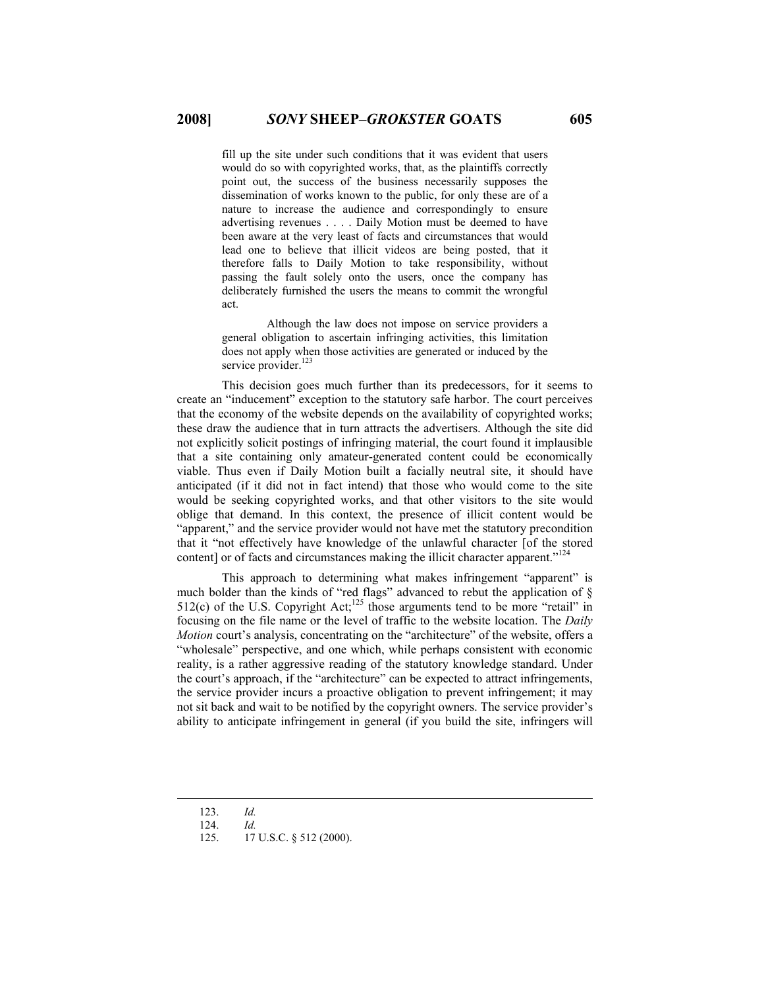fill up the site under such conditions that it was evident that users would do so with copyrighted works, that, as the plaintiffs correctly point out, the success of the business necessarily supposes the dissemination of works known to the public, for only these are of a nature to increase the audience and correspondingly to ensure advertising revenues . . . . Daily Motion must be deemed to have been aware at the very least of facts and circumstances that would lead one to believe that illicit videos are being posted, that it therefore falls to Daily Motion to take responsibility, without passing the fault solely onto the users, once the company has deliberately furnished the users the means to commit the wrongful act.

 Although the law does not impose on service providers a general obligation to ascertain infringing activities, this limitation does not apply when those activities are generated or induced by the service provider. $12$ 

This decision goes much further than its predecessors, for it seems to create an "inducement" exception to the statutory safe harbor. The court perceives that the economy of the website depends on the availability of copyrighted works; these draw the audience that in turn attracts the advertisers. Although the site did not explicitly solicit postings of infringing material, the court found it implausible that a site containing only amateur-generated content could be economically viable. Thus even if Daily Motion built a facially neutral site, it should have anticipated (if it did not in fact intend) that those who would come to the site would be seeking copyrighted works, and that other visitors to the site would oblige that demand. In this context, the presence of illicit content would be "apparent," and the service provider would not have met the statutory precondition that it "not effectively have knowledge of the unlawful character [of the stored content] or of facts and circumstances making the illicit character apparent."<sup>124</sup>

This approach to determining what makes infringement "apparent" is much bolder than the kinds of "red flags" advanced to rebut the application of  $\delta$  $512(c)$  of the U.S. Copyright Act;<sup>125</sup> those arguments tend to be more "retail" in focusing on the file name or the level of traffic to the website location. The *Daily Motion* court's analysis, concentrating on the "architecture" of the website, offers a "wholesale" perspective, and one which, while perhaps consistent with economic reality, is a rather aggressive reading of the statutory knowledge standard. Under the court's approach, if the "architecture" can be expected to attract infringements, the service provider incurs a proactive obligation to prevent infringement; it may not sit back and wait to be notified by the copyright owners. The service provider's ability to anticipate infringement in general (if you build the site, infringers will

125. 17 U.S.C. § 512 (2000).

 <sup>123.</sup> *Id.*

<sup>124.</sup> *Id.*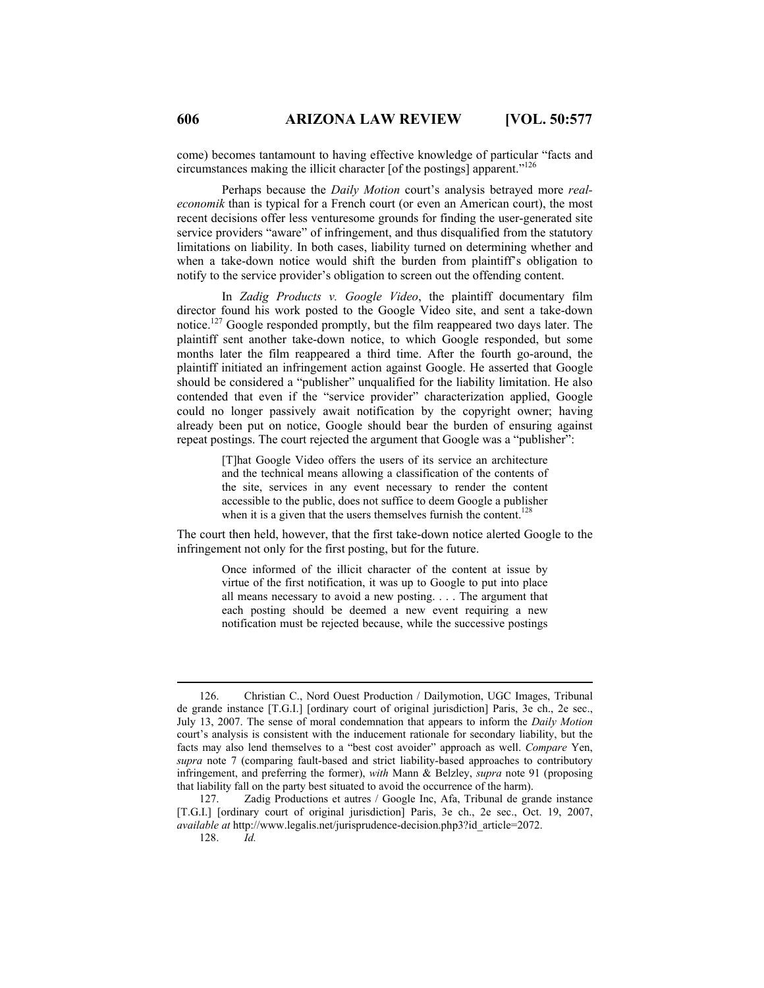come) becomes tantamount to having effective knowledge of particular "facts and circumstances making the illicit character [of the postings] apparent."126

Perhaps because the *Daily Motion* court's analysis betrayed more *realeconomik* than is typical for a French court (or even an American court), the most recent decisions offer less venturesome grounds for finding the user-generated site service providers "aware" of infringement, and thus disqualified from the statutory limitations on liability. In both cases, liability turned on determining whether and when a take-down notice would shift the burden from plaintiff's obligation to notify to the service provider's obligation to screen out the offending content.

In *Zadig Products v. Google Video*, the plaintiff documentary film director found his work posted to the Google Video site, and sent a take-down notice.<sup>127</sup> Google responded promptly, but the film reappeared two days later. The plaintiff sent another take-down notice, to which Google responded, but some months later the film reappeared a third time. After the fourth go-around, the plaintiff initiated an infringement action against Google. He asserted that Google should be considered a "publisher" unqualified for the liability limitation. He also contended that even if the "service provider" characterization applied, Google could no longer passively await notification by the copyright owner; having already been put on notice, Google should bear the burden of ensuring against repeat postings. The court rejected the argument that Google was a "publisher":

> [T]hat Google Video offers the users of its service an architecture and the technical means allowing a classification of the contents of the site, services in any event necessary to render the content accessible to the public, does not suffice to deem Google a publisher when it is a given that the users themselves furnish the content.<sup>12</sup>

The court then held, however, that the first take-down notice alerted Google to the infringement not only for the first posting, but for the future.

> Once informed of the illicit character of the content at issue by virtue of the first notification, it was up to Google to put into place all means necessary to avoid a new posting. . . . The argument that each posting should be deemed a new event requiring a new notification must be rejected because, while the successive postings

 <sup>126.</sup> Christian C., Nord Ouest Production / Dailymotion, UGC Images, Tribunal de grande instance [T.G.I.] [ordinary court of original jurisdiction] Paris, 3e ch., 2e sec., July 13, 2007. The sense of moral condemnation that appears to inform the *Daily Motion* court's analysis is consistent with the inducement rationale for secondary liability, but the facts may also lend themselves to a "best cost avoider" approach as well. *Compare* Yen, *supra* note 7 (comparing fault-based and strict liability-based approaches to contributory infringement, and preferring the former), *with* Mann & Belzley, *supra* note 91 (proposing that liability fall on the party best situated to avoid the occurrence of the harm).

<sup>127.</sup> Zadig Productions et autres / Google Inc, Afa, Tribunal de grande instance [T.G.I.] [ordinary court of original jurisdiction] Paris, 3e ch., 2e sec., Oct. 19, 2007, *available at* http://www.legalis.net/jurisprudence-decision.php3?id\_article=2072.

<sup>128.</sup> *Id.*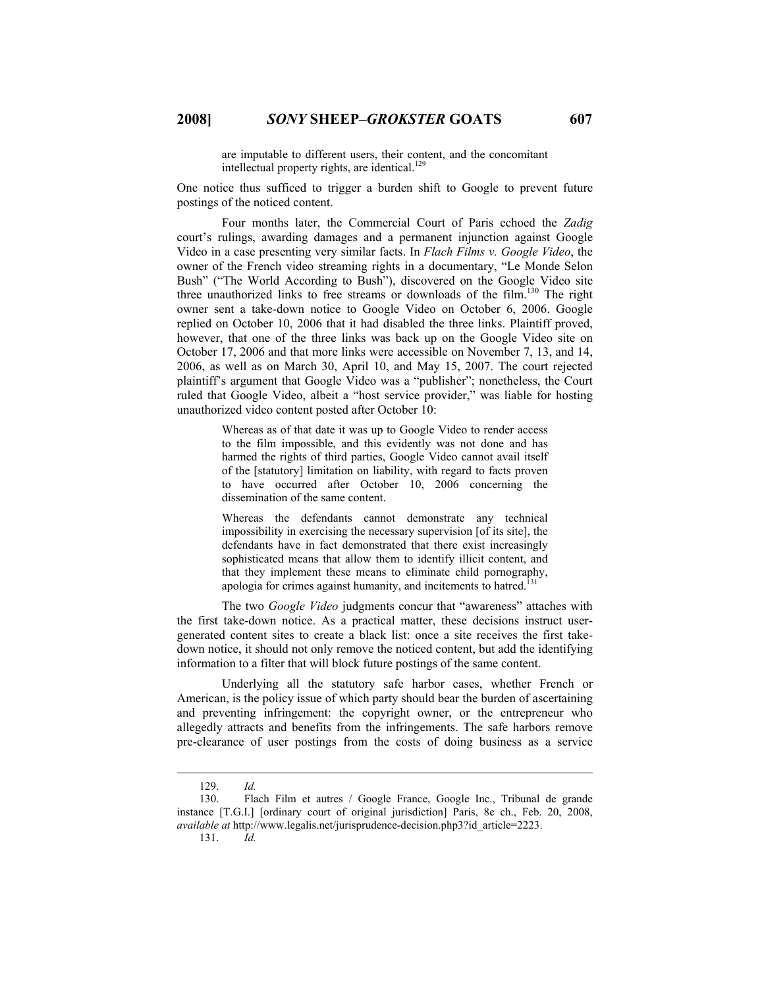are imputable to different users, their content, and the concomitant intellectual property rights, are identical. $129$ 

One notice thus sufficed to trigger a burden shift to Google to prevent future postings of the noticed content.

Four months later, the Commercial Court of Paris echoed the *Zadig* court's rulings, awarding damages and a permanent injunction against Google Video in a case presenting very similar facts. In *Flach Films v. Google Video*, the owner of the French video streaming rights in a documentary, "Le Monde Selon Bush" ("The World According to Bush"), discovered on the Google Video site three unauthorized links to free streams or downloads of the film.130 The right owner sent a take-down notice to Google Video on October 6, 2006. Google replied on October 10, 2006 that it had disabled the three links. Plaintiff proved, however, that one of the three links was back up on the Google Video site on October 17, 2006 and that more links were accessible on November 7, 13, and 14, 2006, as well as on March 30, April 10, and May 15, 2007. The court rejected plaintiff's argument that Google Video was a "publisher"; nonetheless, the Court ruled that Google Video, albeit a "host service provider," was liable for hosting unauthorized video content posted after October 10:

> Whereas as of that date it was up to Google Video to render access to the film impossible, and this evidently was not done and has harmed the rights of third parties, Google Video cannot avail itself of the [statutory] limitation on liability, with regard to facts proven to have occurred after October 10, 2006 concerning the dissemination of the same content.

> Whereas the defendants cannot demonstrate any technical impossibility in exercising the necessary supervision [of its site], the defendants have in fact demonstrated that there exist increasingly sophisticated means that allow them to identify illicit content, and that they implement these means to eliminate child pornography, apologia for crimes against humanity, and incitements to hatred.<sup>131</sup>

 The two *Google Video* judgments concur that "awareness" attaches with the first take-down notice. As a practical matter, these decisions instruct usergenerated content sites to create a black list: once a site receives the first takedown notice, it should not only remove the noticed content, but add the identifying information to a filter that will block future postings of the same content.

Underlying all the statutory safe harbor cases, whether French or American, is the policy issue of which party should bear the burden of ascertaining and preventing infringement: the copyright owner, or the entrepreneur who allegedly attracts and benefits from the infringements. The safe harbors remove pre-clearance of user postings from the costs of doing business as a service

 <sup>129.</sup> *Id.*

<sup>130.</sup> Flach Film et autres / Google France, Google Inc., Tribunal de grande instance [T.G.I.] [ordinary court of original jurisdiction] Paris, 8e ch., Feb. 20, 2008, *available at* http://www.legalis.net/jurisprudence-decision.php3?id\_article=2223.

<sup>131.</sup> *Id.*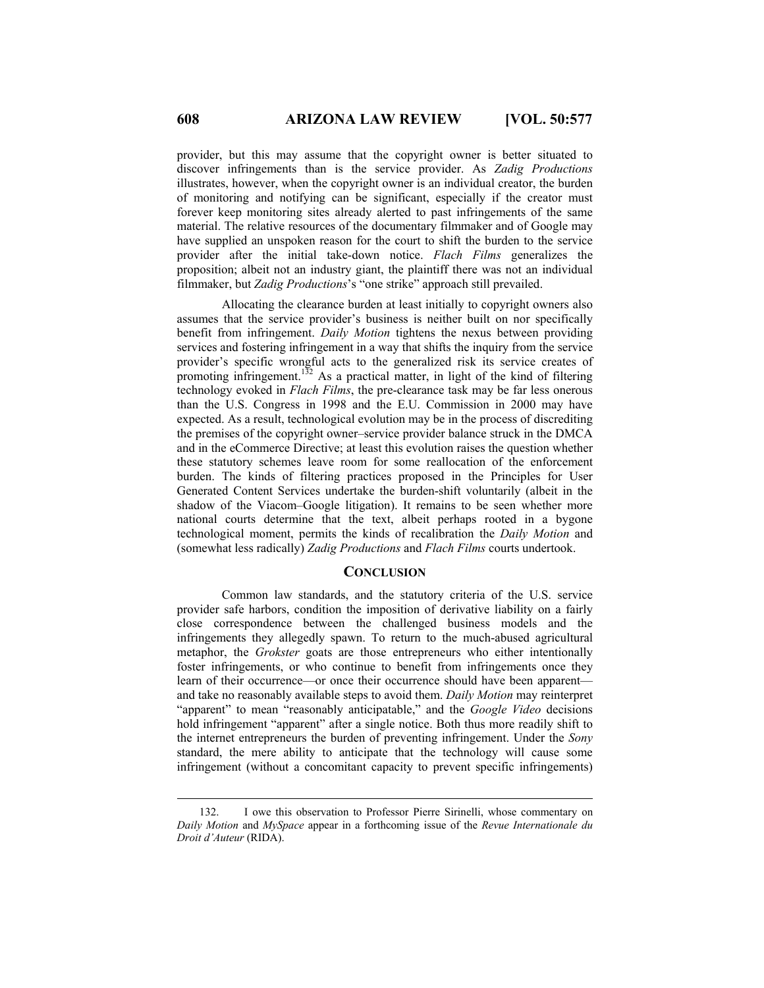provider, but this may assume that the copyright owner is better situated to discover infringements than is the service provider. As *Zadig Productions* illustrates, however, when the copyright owner is an individual creator, the burden of monitoring and notifying can be significant, especially if the creator must forever keep monitoring sites already alerted to past infringements of the same material. The relative resources of the documentary filmmaker and of Google may have supplied an unspoken reason for the court to shift the burden to the service provider after the initial take-down notice. *Flach Films* generalizes the proposition; albeit not an industry giant, the plaintiff there was not an individual filmmaker, but *Zadig Productions*'s "one strike" approach still prevailed.

Allocating the clearance burden at least initially to copyright owners also assumes that the service provider's business is neither built on nor specifically benefit from infringement. *Daily Motion* tightens the nexus between providing services and fostering infringement in a way that shifts the inquiry from the service provider's specific wrongful acts to the generalized risk its service creates of provided by opposite whole the subsequent that the service creates of promoting infringement.<sup>132</sup> As a practical matter, in light of the kind of filtering technology evoked in *Flach Films*, the pre-clearance task may be far less onerous than the U.S. Congress in 1998 and the E.U. Commission in 2000 may have expected. As a result, technological evolution may be in the process of discrediting the premises of the copyright owner–service provider balance struck in the DMCA and in the eCommerce Directive; at least this evolution raises the question whether these statutory schemes leave room for some reallocation of the enforcement burden. The kinds of filtering practices proposed in the Principles for User Generated Content Services undertake the burden-shift voluntarily (albeit in the shadow of the Viacom–Google litigation). It remains to be seen whether more national courts determine that the text, albeit perhaps rooted in a bygone technological moment, permits the kinds of recalibration the *Daily Motion* and (somewhat less radically) *Zadig Productions* and *Flach Films* courts undertook.

## **CONCLUSION**

Common law standards, and the statutory criteria of the U.S. service provider safe harbors, condition the imposition of derivative liability on a fairly close correspondence between the challenged business models and the infringements they allegedly spawn. To return to the much-abused agricultural metaphor, the *Grokster* goats are those entrepreneurs who either intentionally foster infringements, or who continue to benefit from infringements once they learn of their occurrence—or once their occurrence should have been apparent and take no reasonably available steps to avoid them. *Daily Motion* may reinterpret "apparent" to mean "reasonably anticipatable," and the *Google Video* decisions hold infringement "apparent" after a single notice. Both thus more readily shift to the internet entrepreneurs the burden of preventing infringement. Under the *Sony* standard, the mere ability to anticipate that the technology will cause some infringement (without a concomitant capacity to prevent specific infringements)

 <sup>132.</sup> I owe this observation to Professor Pierre Sirinelli, whose commentary on *Daily Motion* and *MySpace* appear in a forthcoming issue of the *Revue Internationale du Droit d'Auteur* (RIDA).